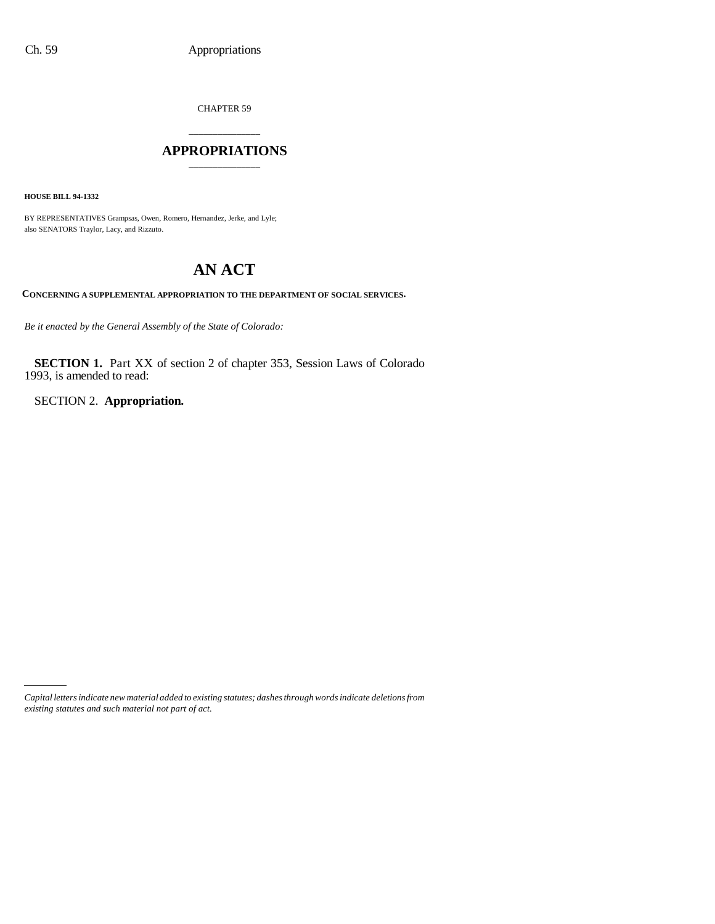CHAPTER 59

### \_\_\_\_\_\_\_\_\_\_\_\_\_\_\_ **APPROPRIATIONS** \_\_\_\_\_\_\_\_\_\_\_\_\_\_\_

**HOUSE BILL 94-1332**

BY REPRESENTATIVES Grampsas, Owen, Romero, Hernandez, Jerke, and Lyle; also SENATORS Traylor, Lacy, and Rizzuto.

# **AN ACT**

**CONCERNING A SUPPLEMENTAL APPROPRIATION TO THE DEPARTMENT OF SOCIAL SERVICES.**

*Be it enacted by the General Assembly of the State of Colorado:*

**SECTION 1.** Part XX of section 2 of chapter 353, Session Laws of Colorado 1993, is amended to read:

SECTION 2. **Appropriation.**

*Capital letters indicate new material added to existing statutes; dashes through words indicate deletions from existing statutes and such material not part of act.*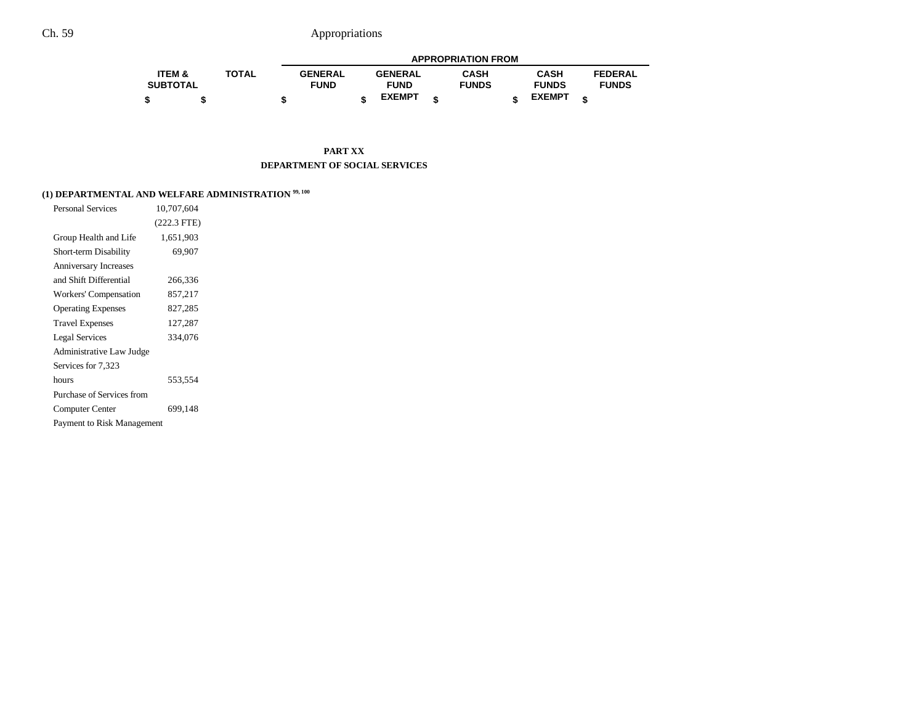|                   |              |                | <b>APPROPRIATION FROM</b> |                |   |              |  |               |  |                |
|-------------------|--------------|----------------|---------------------------|----------------|---|--------------|--|---------------|--|----------------|
| <b>ITEM &amp;</b> | <b>TOTAL</b> | <b>GENERAL</b> |                           | <b>GENERAL</b> |   | CASH         |  | <b>CASH</b>   |  | <b>FEDERAL</b> |
| <b>SUBTOTAL</b>   |              | <b>FUND</b>    |                           | <b>FUND</b>    |   | <b>FUNDS</b> |  | <b>FUNDS</b>  |  | <b>FUNDS</b>   |
| \$                |              |                |                           | <b>EXEMPT</b>  | ¢ |              |  | <b>EXEMPT</b> |  |                |

**PART XX DEPARTMENT OF SOCIAL SERVICES**

### **(1) DEPARTMENTAL AND WELFARE ADMINISTRATION 99, 100**

| <b>Personal Services</b>     | 10,707,604    |  |
|------------------------------|---------------|--|
|                              | $(222.3$ FTE) |  |
| Group Health and Life        | 1,651,903     |  |
| Short-term Disability        | 69,907        |  |
| <b>Anniversary Increases</b> |               |  |
| and Shift Differential       | 266,336       |  |
| Workers' Compensation        | 857,217       |  |
| <b>Operating Expenses</b>    | 827,285       |  |
| <b>Travel Expenses</b>       | 127,287       |  |
| <b>Legal Services</b>        | 334,076       |  |
| Administrative Law Judge     |               |  |
| Services for 7,323           |               |  |
| hours                        | 553,554       |  |
| Purchase of Services from    |               |  |
| Computer Center              | 699,148       |  |
| Payment to Risk Management   |               |  |
|                              |               |  |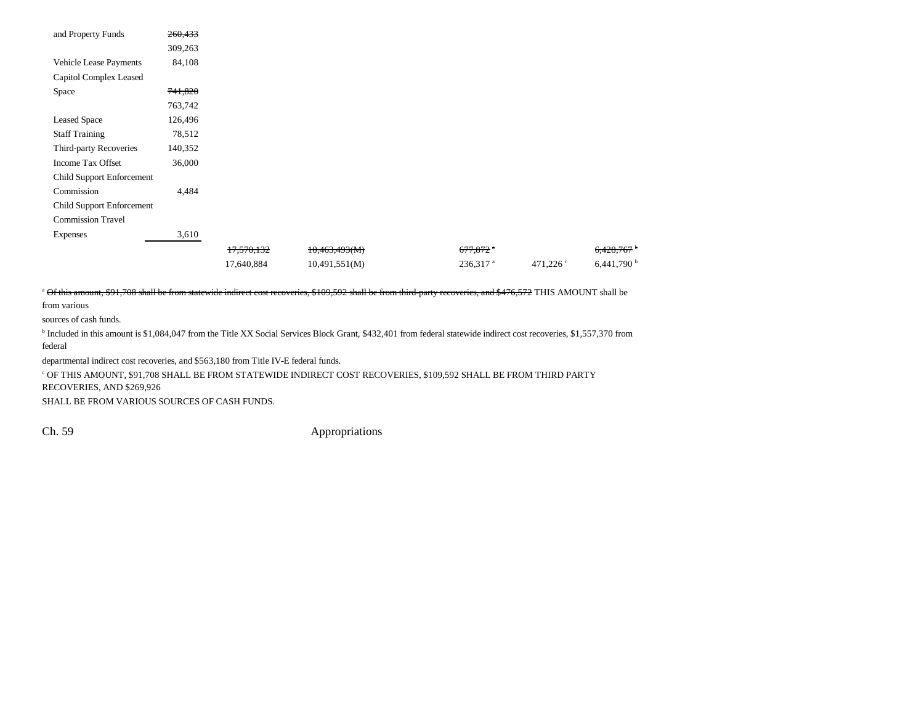| and Property Funds        | 260,433 |            |               |                        |                   |                          |
|---------------------------|---------|------------|---------------|------------------------|-------------------|--------------------------|
|                           | 309,263 |            |               |                        |                   |                          |
| Vehicle Lease Payments    | 84,108  |            |               |                        |                   |                          |
| Capitol Complex Leased    |         |            |               |                        |                   |                          |
| Space                     | 741,820 |            |               |                        |                   |                          |
|                           | 763,742 |            |               |                        |                   |                          |
| <b>Leased Space</b>       | 126,496 |            |               |                        |                   |                          |
| <b>Staff Training</b>     | 78,512  |            |               |                        |                   |                          |
| Third-party Recoveries    | 140,352 |            |               |                        |                   |                          |
| Income Tax Offset         | 36,000  |            |               |                        |                   |                          |
| Child Support Enforcement |         |            |               |                        |                   |                          |
| Commission                | 4,484   |            |               |                        |                   |                          |
| Child Support Enforcement |         |            |               |                        |                   |                          |
| <b>Commission Travel</b>  |         |            |               |                        |                   |                          |
| <b>Expenses</b>           | 3,610   |            |               |                        |                   |                          |
|                           |         | 17,570,132 | 10,463,493(M) | $677,872$ <sup>a</sup> |                   | 6,428,767                |
|                           |         | 17,640,884 | 10,491,551(M) | $236,317$ <sup>a</sup> | 471,226 $\degree$ | $6,441,790$ <sup>b</sup> |

<sup>a</sup> Of this amount, \$91,708 shall be from statewide indirect cost recoveries, \$109,592 shall be from third-party recoveries, and \$476,572 THIS AMOUNT shall be from various

sources of cash funds.

b Included in this amount is \$1,084,047 from the Title XX Social Services Block Grant, \$432,401 from federal statewide indirect cost recoveries, \$1,557,370 from federal

departmental indirect cost recoveries, and \$563,180 from Title IV-E federal funds.

 $^\mathrm{c}$  OF THIS AMOUNT, \$91,708 SHALL BE FROM STATEWIDE INDIRECT COST RECOVERIES, \$109,592 SHALL BE FROM THIRD PARTY RECOVERIES, AND \$269,926

SHALL BE FROM VARIOUS SOURCES OF CASH FUNDS.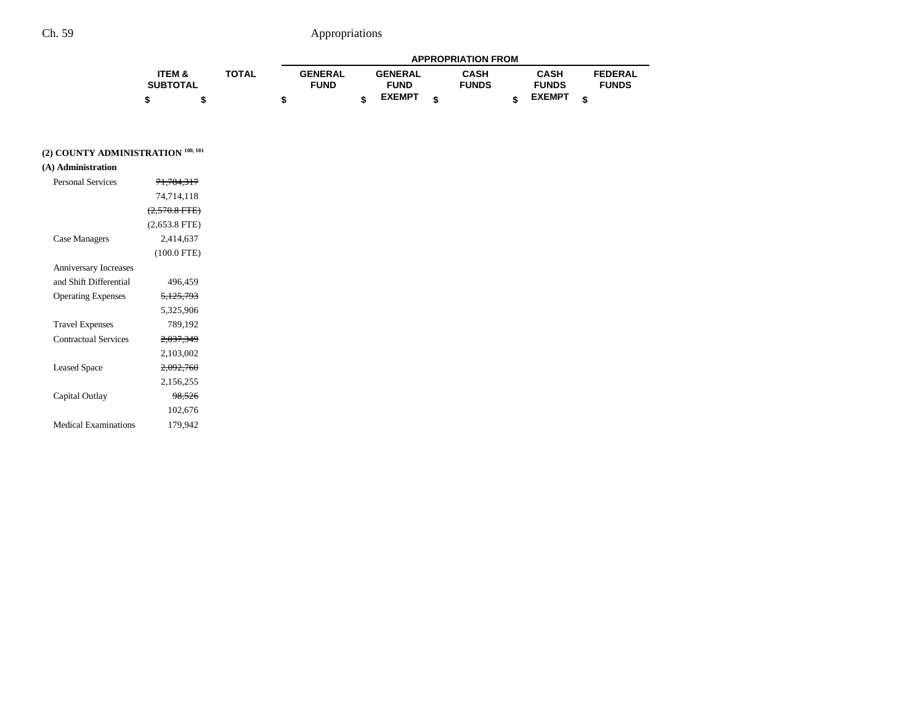|                 |              | <b>APPROPRIATION FROM</b> |  |                |  |              |  |               |  |                |
|-----------------|--------------|---------------------------|--|----------------|--|--------------|--|---------------|--|----------------|
| ITEM &          | <b>TOTAL</b> | <b>GENERAL</b>            |  | <b>GENERAL</b> |  | <b>CASH</b>  |  | <b>CASH</b>   |  | <b>FEDERAL</b> |
| <b>SUBTOTAL</b> |              | <b>FUND</b>               |  | <b>FUND</b>    |  | <b>FUNDS</b> |  | <b>FUNDS</b>  |  | <b>FUNDS</b>   |
|                 |              |                           |  | <b>EXEMPT</b>  |  |              |  | <b>EXEMPT</b> |  |                |

### **(2) COUNTY ADMINISTRATION 100, 101**

### **(A) Administration**

| <b>Personal Services</b>     | 71,784,317           |
|------------------------------|----------------------|
|                              | 74,714,118           |
|                              | $(2,570.8$ FTE)      |
|                              | $(2,653.8$ FTE)      |
| Case Managers                | 2.414.637            |
|                              | $(100.0$ FTE)        |
| <b>Anniversary Increases</b> |                      |
| and Shift Differential       | 496.459              |
| <b>Operating Expenses</b>    | <del>5,125,793</del> |
|                              | 5,325,906            |
| <b>Travel Expenses</b>       | 789,192              |
| <b>Contractual Services</b>  | 2,037,349            |
|                              | 2,103,002            |
| <b>Leased Space</b>          | <del>2,092,760</del> |
|                              | 2,156,255            |
| Capital Outlay               | <del>98,526</del>    |
|                              | 102,676              |
| <b>Medical Examinations</b>  | 179,942              |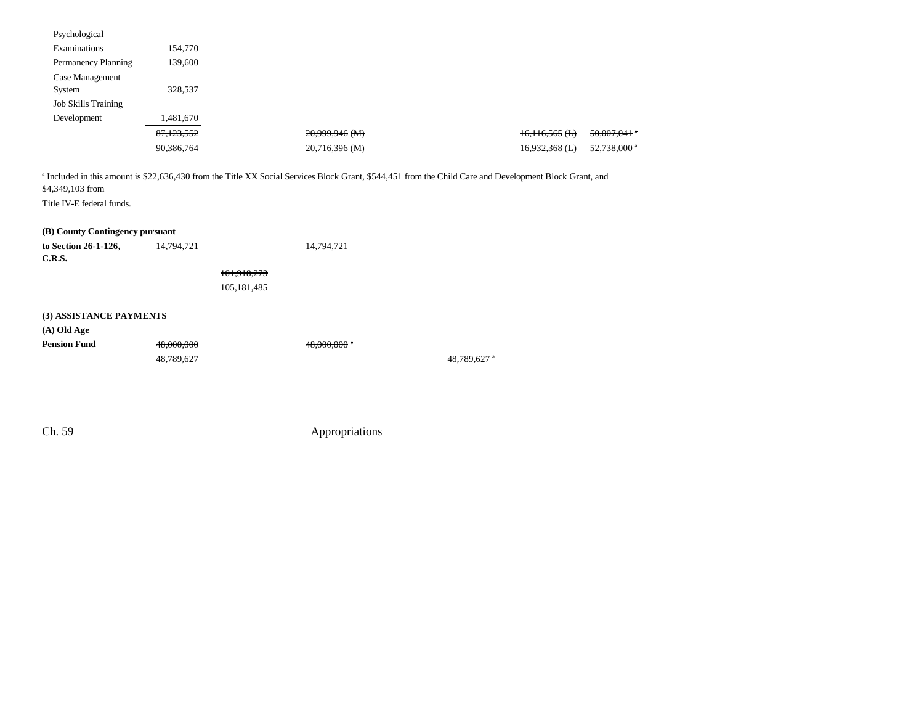| Psychological                                                |            |                   |                  |                         |
|--------------------------------------------------------------|------------|-------------------|------------------|-------------------------|
| Examinations                                                 | 154,770    |                   |                  |                         |
| Permanency Planning                                          | 139,600    |                   |                  |                         |
| Case Management                                              |            |                   |                  |                         |
| System                                                       | 328,537    |                   |                  |                         |
| <b>Job Skills Training</b>                                   |            |                   |                  |                         |
| Development                                                  | 1,481,670  |                   |                  |                         |
|                                                              | 87,123,552 | 20,999,946 (M)    | $16,116,565$ (L) | 50,007,041              |
|                                                              | 90,386,764 | 20,716,396 (M)    | $16,932,368$ (L) | 52,738,000 <sup>a</sup> |
| Title IV-E federal funds.<br>(B) County Contingency pursuant |            |                   |                  |                         |
| to Section 26-1-126,                                         | 14,794,721 | 14,794,721        |                  |                         |
| C.R.S.                                                       |            |                   |                  |                         |
|                                                              |            | 101,918,273       |                  |                         |
|                                                              |            | 105,181,485       |                  |                         |
| (3) ASSISTANCE PAYMENTS                                      |            |                   |                  |                         |
| $(A)$ Old Age                                                |            |                   |                  |                         |
| Pension Fund                                                 | 48.000.000 | $48.000.000$ $^*$ |                  |                         |

**Pension Fund**48,000,000 48,000,000 48,789,627 48,789,627 a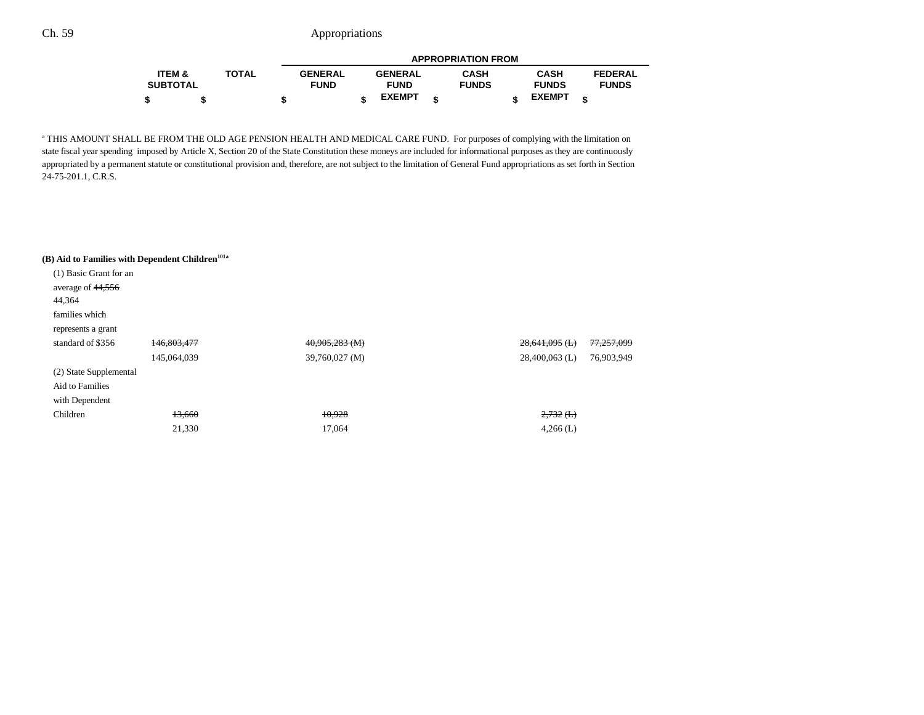|                   |              | <b>APPROPRIATION FROM</b> |  |                |  |              |  |               |                |  |
|-------------------|--------------|---------------------------|--|----------------|--|--------------|--|---------------|----------------|--|
| <b>ITEM &amp;</b> | <b>TOTAL</b> | <b>GENERAL</b>            |  | <b>GENERAL</b> |  | <b>CASH</b>  |  | <b>CASH</b>   | <b>FEDERAL</b> |  |
| <b>SUBTOTAL</b>   |              | <b>FUND</b>               |  | <b>FUND</b>    |  | <b>FUNDS</b> |  | <b>FUNDS</b>  | <b>FUNDS</b>   |  |
|                   |              | œ                         |  | <b>EXEMPT</b>  |  |              |  | <b>EXEMPT</b> |                |  |

<sup>a</sup> THIS AMOUNT SHALL BE FROM THE OLD AGE PENSION HEALTH AND MEDICAL CARE FUND. For purposes of complying with the limitation on state fiscal year spending imposed by Article X, Section 20 of the State Constitution these moneys are included for informational purposes as they are continuously appropriated by a permanent statute or constitutional provision and, therefore, are not subject to the limitation of General Fund appropriations as set forth in Section 24-75-201.1, C.R.S.

#### (B) Aid to Families with Dependent Children<sup>101a</sup>

| (1) Basic Grant for an |             |                |                      |            |
|------------------------|-------------|----------------|----------------------|------------|
| average of 44,556      |             |                |                      |            |
| 44,364                 |             |                |                      |            |
| families which         |             |                |                      |            |
| represents a grant     |             |                |                      |            |
| standard of \$356      | 146,803,477 | 40,905,283 (M) | $28,641,095$ (L)     | 77,257,099 |
|                        | 145,064,039 | 39,760,027 (M) | $28,400,063$ (L)     | 76,903,949 |
| (2) State Supplemental |             |                |                      |            |
| Aid to Families        |             |                |                      |            |
| with Dependent         |             |                |                      |            |
| Children               | 13,660      | 10,928         | $2,732$ ( <b>L</b> ) |            |
|                        | 21,330      | 17,064         | $4,266$ (L)          |            |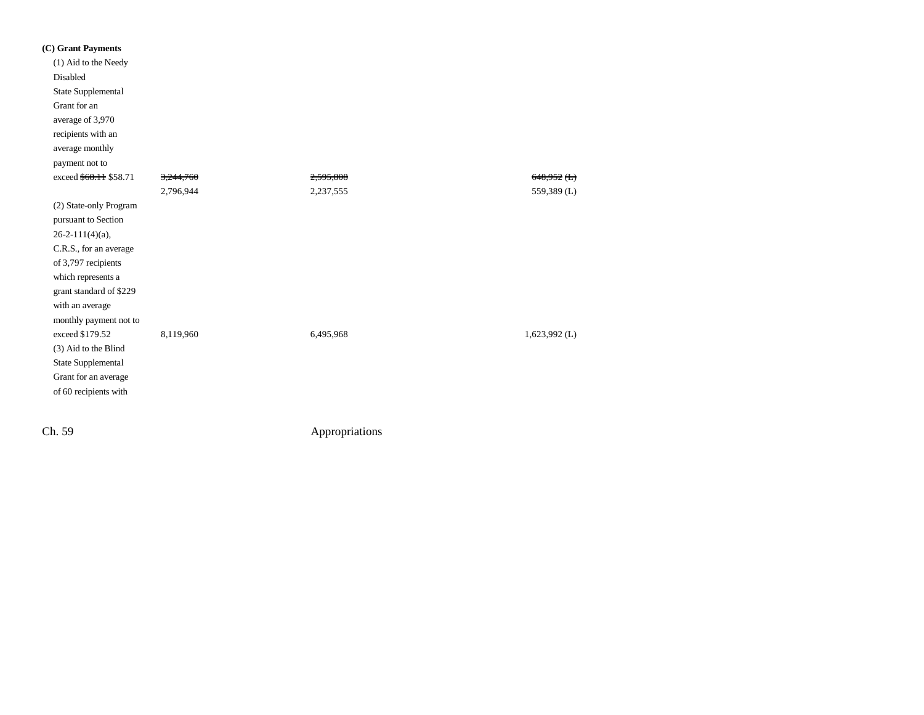| (C) Grant Payments      |           |           |                 |
|-------------------------|-----------|-----------|-----------------|
| (1) Aid to the Needy    |           |           |                 |
| Disabled                |           |           |                 |
| State Supplemental      |           |           |                 |
| Grant for an            |           |           |                 |
| average of 3,970        |           |           |                 |
| recipients with an      |           |           |                 |
| average monthly         |           |           |                 |
| payment not to          |           |           |                 |
| exceed \$68.11 \$58.71  | 3,244,760 | 2,595,808 | $648,952$ (L)   |
|                         | 2,796,944 | 2,237,555 | 559,389 (L)     |
| (2) State-only Program  |           |           |                 |
| pursuant to Section     |           |           |                 |
| $26 - 2 - 111(4)$ (a),  |           |           |                 |
| C.R.S., for an average  |           |           |                 |
| of 3,797 recipients     |           |           |                 |
| which represents a      |           |           |                 |
| grant standard of \$229 |           |           |                 |
| with an average         |           |           |                 |
| monthly payment not to  |           |           |                 |
| exceed \$179.52         | 8,119,960 | 6,495,968 | $1,623,992$ (L) |
| (3) Aid to the Blind    |           |           |                 |
| State Supplemental      |           |           |                 |
| Grant for an average    |           |           |                 |
| of 60 recipients with   |           |           |                 |
|                         |           |           |                 |
|                         |           |           |                 |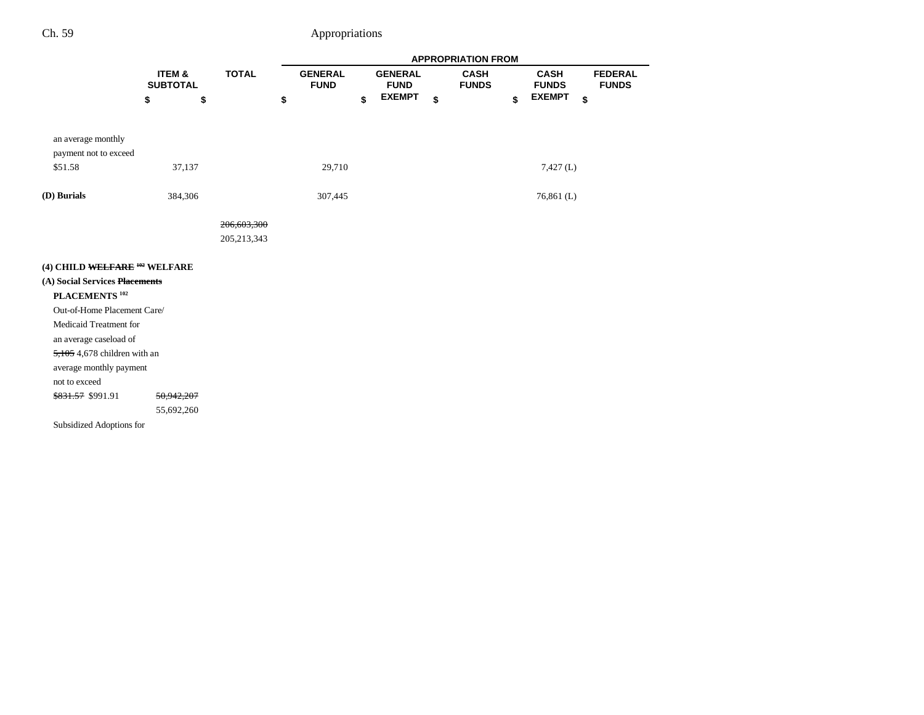|                                          |                 |               |                |                     | <b>APPROPRIATION FROM</b> |                     |                |
|------------------------------------------|-----------------|---------------|----------------|---------------------|---------------------------|---------------------|----------------|
|                                          | ITEM &          | <b>TOTAL</b>  | <b>GENERAL</b> | <b>GENERAL</b>      | <b>CASH</b>               | <b>CASH</b>         | <b>FEDERAL</b> |
|                                          | <b>SUBTOTAL</b> |               | <b>FUND</b>    | <b>FUND</b>         | <b>FUNDS</b>              | <b>FUNDS</b>        | <b>FUNDS</b>   |
|                                          | \$              | \$            | \$             | \$<br><b>EXEMPT</b> | \$                        | \$<br><b>EXEMPT</b> | \$             |
|                                          |                 |               |                |                     |                           |                     |                |
| an average monthly                       |                 |               |                |                     |                           |                     |                |
| payment not to exceed                    |                 |               |                |                     |                           |                     |                |
| \$51.58                                  | 37,137          |               | 29,710         |                     |                           | $7,427$ (L)         |                |
|                                          |                 |               |                |                     |                           |                     |                |
| (D) Burials                              | 384,306         |               | 307,445        |                     |                           | $76,861$ (L)        |                |
|                                          |                 |               |                |                     |                           |                     |                |
|                                          |                 | 206,603,300   |                |                     |                           |                     |                |
|                                          |                 | 205, 213, 343 |                |                     |                           |                     |                |
|                                          |                 |               |                |                     |                           |                     |                |
| (4) CHILD WELFARE <sup>102</sup> WELFARE |                 |               |                |                     |                           |                     |                |
| (A) Social Services Placements           |                 |               |                |                     |                           |                     |                |
| PLACEMENTS <sup>102</sup>                |                 |               |                |                     |                           |                     |                |
| Out-of-Home Placement Care/              |                 |               |                |                     |                           |                     |                |
| Medicaid Treatment for                   |                 |               |                |                     |                           |                     |                |
| an average caseload of                   |                 |               |                |                     |                           |                     |                |
| $5,105$ 4,678 children with an           |                 |               |                |                     |                           |                     |                |
| average monthly payment                  |                 |               |                |                     |                           |                     |                |
| not to exceed                            |                 |               |                |                     |                           |                     |                |
| \$831.57 \$991.91                        | 50,942,207      |               |                |                     |                           |                     |                |
|                                          | 55,692,260      |               |                |                     |                           |                     |                |
| Subsidized Adoptions for                 |                 |               |                |                     |                           |                     |                |
|                                          |                 |               |                |                     |                           |                     |                |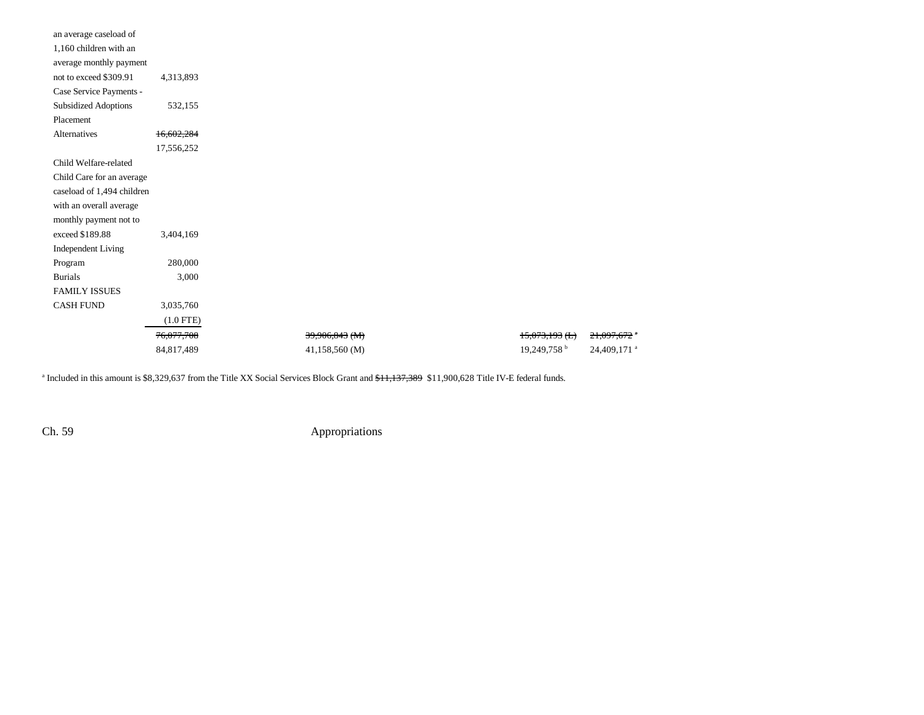| an average caseload of      |                       |                |                           |                         |
|-----------------------------|-----------------------|----------------|---------------------------|-------------------------|
| 1,160 children with an      |                       |                |                           |                         |
| average monthly payment     |                       |                |                           |                         |
| not to exceed \$309.91      | 4,313,893             |                |                           |                         |
| Case Service Payments -     |                       |                |                           |                         |
| <b>Subsidized Adoptions</b> | 532,155               |                |                           |                         |
| Placement                   |                       |                |                           |                         |
| Alternatives                | 16,602,284            |                |                           |                         |
|                             | 17,556,252            |                |                           |                         |
| Child Welfare-related       |                       |                |                           |                         |
| Child Care for an average   |                       |                |                           |                         |
| caseload of 1,494 children  |                       |                |                           |                         |
| with an overall average     |                       |                |                           |                         |
| monthly payment not to      |                       |                |                           |                         |
| exceed \$189.88             | 3,404,169             |                |                           |                         |
| Independent Living          |                       |                |                           |                         |
| Program                     | 280,000               |                |                           |                         |
| <b>Burials</b>              | 3,000                 |                |                           |                         |
| <b>FAMILY ISSUES</b>        |                       |                |                           |                         |
| <b>CASH FUND</b>            | 3,035,760             |                |                           |                         |
|                             | $(1.0$ FTE)           |                |                           |                         |
|                             | <del>76,077,708</del> | 39,906,843 (M) | $15,073,193$ (L)          | 21,097,672 °            |
|                             | 84,817,489            | 41,158,560 (M) | $19,249,758$ <sup>b</sup> | 24,409,171 <sup>a</sup> |
|                             |                       |                |                           |                         |

<sup>a</sup> Included in this amount is \$8,329,637 from the Title XX Social Services Block Grant and <del>\$11,137,389</del> \$11,900,628 Title IV-E federal funds.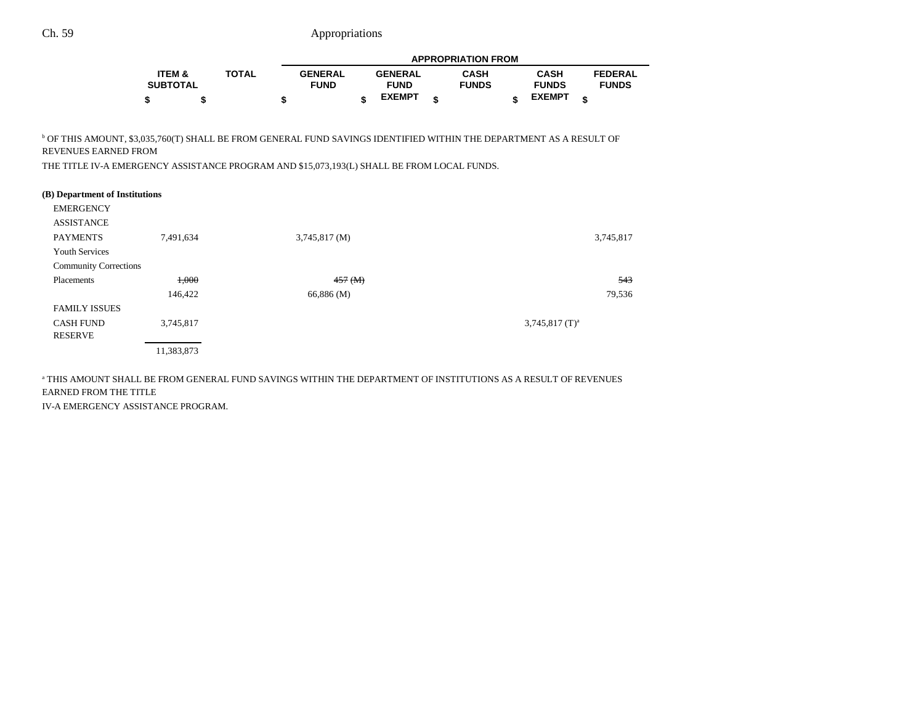|                   |              | <b>APPROPRIATION FROM</b> |  |                |  |              |  |               |                |
|-------------------|--------------|---------------------------|--|----------------|--|--------------|--|---------------|----------------|
| <b>ITEM &amp;</b> | <b>TOTAL</b> | <b>GENERAL</b>            |  | <b>GENERAL</b> |  | <b>CASH</b>  |  | <b>CASH</b>   | <b>FEDERAL</b> |
| <b>SUBTOTAL</b>   |              | <b>FUND</b>               |  | <b>FUND</b>    |  | <b>FUNDS</b> |  | <b>FUNDS</b>  | <b>FUNDS</b>   |
| \$                |              |                           |  | <b>EXEMPT</b>  |  |              |  | <b>EXEMPT</b> |                |

 $^{\rm b}$  OF THIS AMOUNT, \$3,035,760(T) SHALL BE FROM GENERAL FUND SAVINGS IDENTIFIED WITHIN THE DEPARTMENT AS A RESULT OF REVENUES EARNED FROM

THE TITLE IV-A EMERGENCY ASSISTANCE PROGRAM AND \$15,073,193(L) SHALL BE FROM LOCAL FUNDS.

| (B) Department of Institutions |            |                           |                              |
|--------------------------------|------------|---------------------------|------------------------------|
| <b>EMERGENCY</b>               |            |                           |                              |
| <b>ASSISTANCE</b>              |            |                           |                              |
| <b>PAYMENTS</b>                | 7,491,634  | $3,745,817 \, (\text{M})$ | 3,745,817                    |
| <b>Youth Services</b>          |            |                           |                              |
| <b>Community Corrections</b>   |            |                           |                              |
| Placements                     | 1,000      | $457 \,(M)$               | 543                          |
|                                | 146,422    | 66,886 (M)                | 79,536                       |
| <b>FAMILY ISSUES</b>           |            |                           |                              |
| <b>CASH FUND</b>               | 3,745,817  |                           | $3,745,817$ (T) <sup>a</sup> |
| RESERVE                        |            |                           |                              |
|                                | 11,383,873 |                           |                              |
|                                |            |                           |                              |

a THIS AMOUNT SHALL BE FROM GENERAL FUND SAVINGS WITHIN THE DEPARTMENT OF INSTITUTIONS AS A RESULT OF REVENUES EARNED FROM THE TITLE IV-A EMERGENCY ASSISTANCE PROGRAM.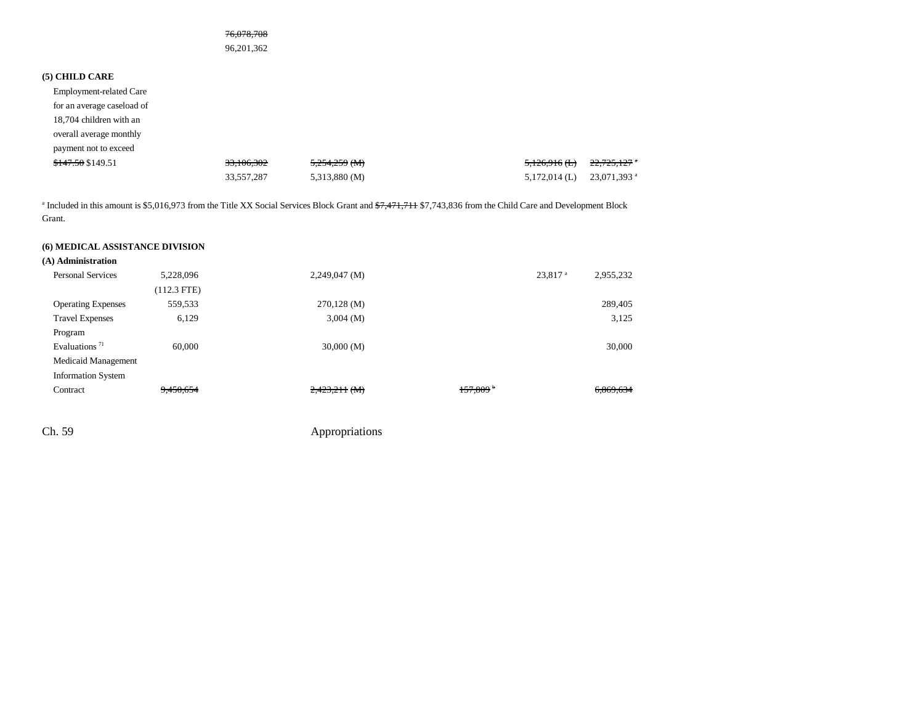#### 76,078,708

96,201,362

#### **(5) CHILD CARE**

Employment-related Care for an average caseload of 18,704 children with an overall average monthly payment not to exceed  $$147.50 \text{ } $19.51$   $$33,106,302$   $$5,254,259 \text{ } (M)$   $$5,126,916 \text{ } (L)$   $$22,725,127 \text{ }^{\circ}$$ 33,557,287 5,313,880 (M) 5,172,014 (L) 23,071,393 a

<sup>a</sup> Included in this amount is \$5,016,973 from the Title XX Social Services Block Grant and  $\frac{27,471,711}{77,743,836}$  from the Child Care and Development Block Grant.

#### **(6) MEDICAL ASSISTANCE DIVISION**

| (A) Administration                     |               |                         |                        |                     |           |
|----------------------------------------|---------------|-------------------------|------------------------|---------------------|-----------|
| <b>Personal Services</b>               | 5.228.096     | $2,249,047$ (M)         |                        | 23.817 <sup>a</sup> | 2,955,232 |
|                                        | $(112.3$ FTE) |                         |                        |                     |           |
| <b>Operating Expenses</b>              | 559,533       | $270,128 \, (\text{M})$ |                        |                     | 289,405   |
| <b>Travel Expenses</b>                 | 6,129         | $3,004 \ (M)$           |                        |                     | 3,125     |
| Program                                |               |                         |                        |                     |           |
| Evaluations <sup><math>71</math></sup> | 60,000        | 30,000(M)               |                        |                     | 30,000    |
| Medicaid Management                    |               |                         |                        |                     |           |
| <b>Information System</b>              |               |                         |                        |                     |           |
| Contract                               | 9,450,654     | $2,423,211$ (M)         | $157,809$ <sup>b</sup> |                     | 6,869,634 |
|                                        |               |                         |                        |                     |           |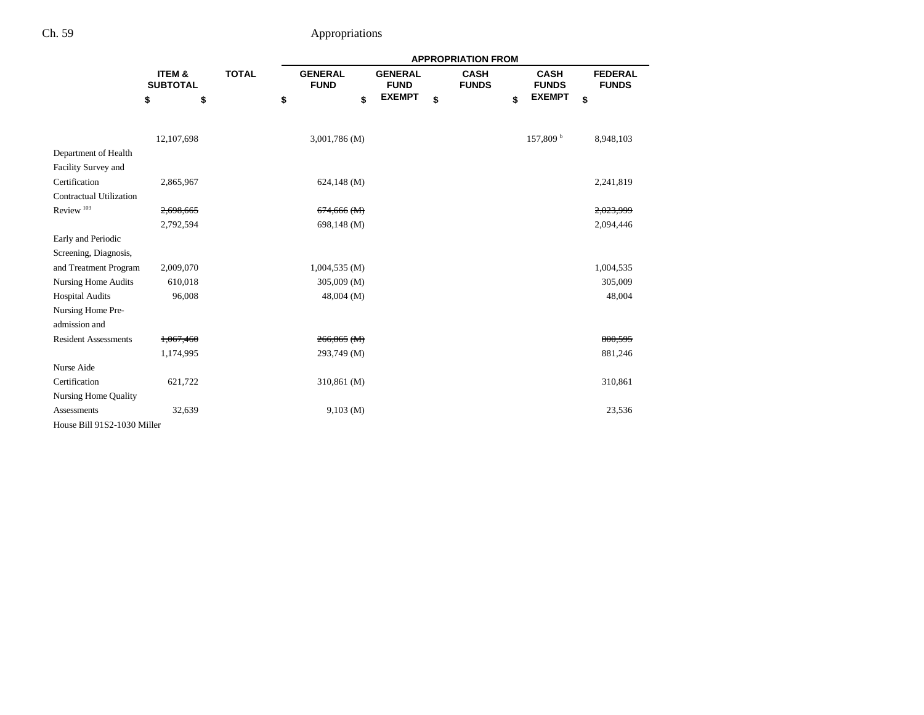|                                | <b>APPROPRIATION FROM</b> |              |                               |                               |               |    |                             |                             |    |                                |
|--------------------------------|---------------------------|--------------|-------------------------------|-------------------------------|---------------|----|-----------------------------|-----------------------------|----|--------------------------------|
|                                | ITEM &<br><b>SUBTOTAL</b> | <b>TOTAL</b> | <b>GENERAL</b><br><b>FUND</b> | <b>GENERAL</b><br><b>FUND</b> |               |    | <b>CASH</b><br><b>FUNDS</b> | <b>CASH</b><br><b>FUNDS</b> |    | <b>FEDERAL</b><br><b>FUNDS</b> |
|                                | \$                        | \$           | \$                            | \$                            | <b>EXEMPT</b> | \$ |                             | \$<br><b>EXEMPT</b>         | \$ |                                |
|                                | 12,107,698                |              | 3,001,786 (M)                 |                               |               |    |                             | $157,809^{\mathrm{b}}$      |    | 8,948,103                      |
| Department of Health           |                           |              |                               |                               |               |    |                             |                             |    |                                |
| Facility Survey and            |                           |              |                               |                               |               |    |                             |                             |    |                                |
| Certification                  | 2,865,967                 |              | $624,148$ (M)                 |                               |               |    |                             |                             |    | 2,241,819                      |
| <b>Contractual Utilization</b> |                           |              |                               |                               |               |    |                             |                             |    |                                |
| Review <sup>103</sup>          | 2,698,665                 |              | $674,666$ (M)                 |                               |               |    |                             |                             |    | 2,023,999                      |
|                                | 2,792,594                 |              | 698,148 (M)                   |                               |               |    |                             |                             |    | 2,094,446                      |
| Early and Periodic             |                           |              |                               |                               |               |    |                             |                             |    |                                |
| Screening, Diagnosis,          |                           |              |                               |                               |               |    |                             |                             |    |                                |
| and Treatment Program          | 2,009,070                 |              | 1,004,535(M)                  |                               |               |    |                             |                             |    | 1,004,535                      |
| <b>Nursing Home Audits</b>     | 610,018                   |              | 305,009 (M)                   |                               |               |    |                             |                             |    | 305,009                        |
| <b>Hospital Audits</b>         | 96,008                    |              | $48,004 \ (M)$                |                               |               |    |                             |                             |    | 48,004                         |
| Nursing Home Pre-              |                           |              |                               |                               |               |    |                             |                             |    |                                |
| admission and                  |                           |              |                               |                               |               |    |                             |                             |    |                                |
| <b>Resident Assessments</b>    | 1,067,460                 |              | $266,865$ (M)                 |                               |               |    |                             |                             |    | 800,595                        |
|                                | 1,174,995                 |              | 293,749 (M)                   |                               |               |    |                             |                             |    | 881,246                        |
| Nurse Aide                     |                           |              |                               |                               |               |    |                             |                             |    |                                |
| Certification                  | 621,722                   |              | 310,861 (M)                   |                               |               |    |                             |                             |    | 310,861                        |
| <b>Nursing Home Quality</b>    |                           |              |                               |                               |               |    |                             |                             |    |                                |
| Assessments                    | 32,639                    |              | 9,103(M)                      |                               |               |    |                             |                             |    | 23,536                         |
| House Bill 91S2-1030 Miller    |                           |              |                               |                               |               |    |                             |                             |    |                                |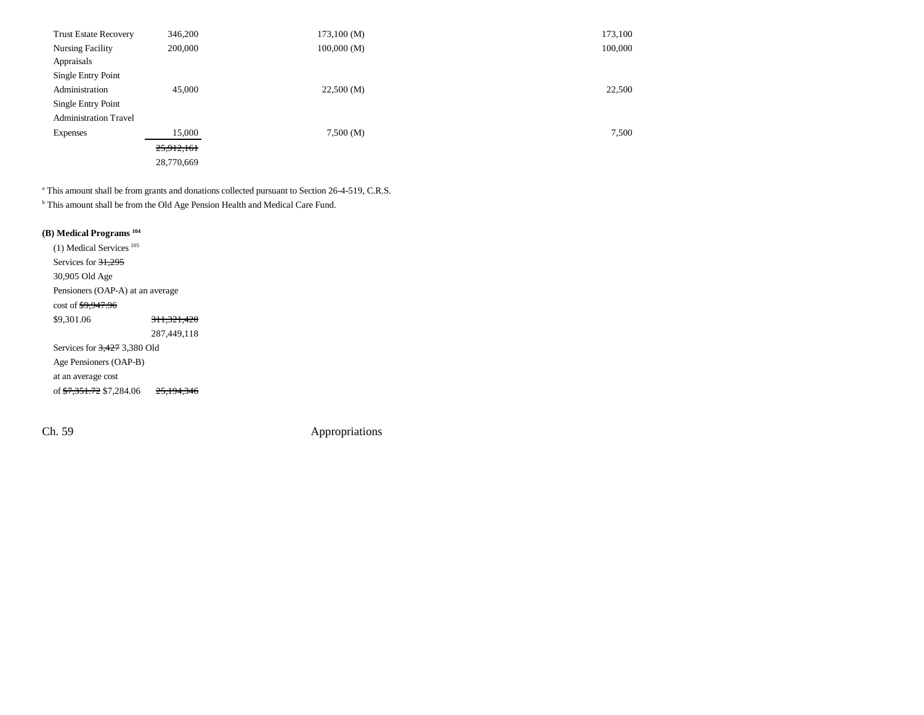| <b>Trust Estate Recovery</b> | 346,200    | 173,100(M) | 173,100 |
|------------------------------|------------|------------|---------|
| <b>Nursing Facility</b>      | 200,000    | 100,000(M) | 100,000 |
| Appraisals                   |            |            |         |
| Single Entry Point           |            |            |         |
| Administration               | 45,000     | 22,500(M)  | 22,500  |
| Single Entry Point           |            |            |         |
| <b>Administration Travel</b> |            |            |         |
| <b>Expenses</b>              | 15,000     | 7,500(M)   | 7,500   |
|                              | 25,912,161 |            |         |
|                              | 28,770,669 |            |         |

<sup>a</sup> This amount shall be from grants and donations collected pursuant to Section 26-4-519, C.R.S.

<sup>b</sup> This amount shall be from the Old Age Pension Health and Medical Care Fund.

#### **(B) Medical Programs 104**

(1) Medical Services <sup>105</sup> Services for 31,295 30,905 Old Age Pensioners (OAP-A) at an average cost of \$9,947.96 \$9,301.06 311,321,420 287,449,118 Services for 3,427 3,380 Old Age Pensioners (OAP-B) at an average cost of \$7,351.72 \$7,284.06 25,194,346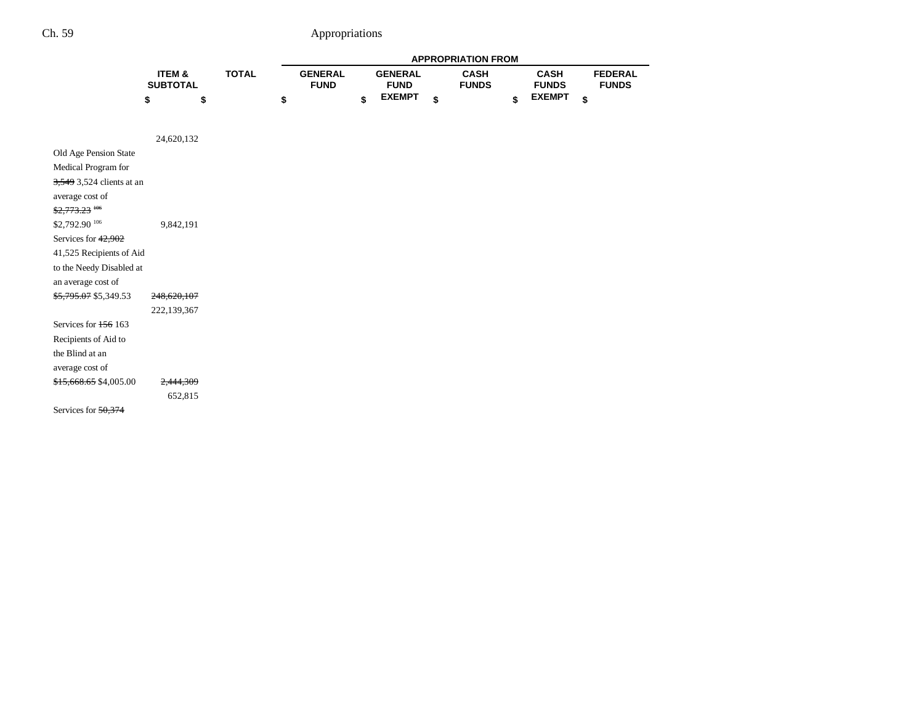|                            |                           |              |                               |                               | <b>APPROPRIATION FROM</b>   |                             |                                |
|----------------------------|---------------------------|--------------|-------------------------------|-------------------------------|-----------------------------|-----------------------------|--------------------------------|
|                            | ITEM &<br><b>SUBTOTAL</b> | <b>TOTAL</b> | <b>GENERAL</b><br><b>FUND</b> | <b>GENERAL</b><br><b>FUND</b> | <b>CASH</b><br><b>FUNDS</b> | <b>CASH</b><br><b>FUNDS</b> | <b>FEDERAL</b><br><b>FUNDS</b> |
|                            | \$                        | \$           | \$                            | \$<br><b>EXEMPT</b>           | \$                          | \$<br><b>EXEMPT</b>         | \$                             |
|                            |                           |              |                               |                               |                             |                             |                                |
|                            | 24,620,132                |              |                               |                               |                             |                             |                                |
| Old Age Pension State      |                           |              |                               |                               |                             |                             |                                |
| Medical Program for        |                           |              |                               |                               |                             |                             |                                |
| 3,549 3,524 clients at an  |                           |              |                               |                               |                             |                             |                                |
| average cost of            |                           |              |                               |                               |                             |                             |                                |
| $$2,773.23$ <sup>106</sup> |                           |              |                               |                               |                             |                             |                                |
| \$2,792.90 106             | 9,842,191                 |              |                               |                               |                             |                             |                                |
| Services for 42,902        |                           |              |                               |                               |                             |                             |                                |
| 41,525 Recipients of Aid   |                           |              |                               |                               |                             |                             |                                |
| to the Needy Disabled at   |                           |              |                               |                               |                             |                             |                                |
| an average cost of         |                           |              |                               |                               |                             |                             |                                |
| \$5,795.07 \$5,349.53      | 248,620,107               |              |                               |                               |                             |                             |                                |
|                            | 222,139,367               |              |                               |                               |                             |                             |                                |
| Services for 156 163       |                           |              |                               |                               |                             |                             |                                |
| Recipients of Aid to       |                           |              |                               |                               |                             |                             |                                |
| the Blind at an            |                           |              |                               |                               |                             |                             |                                |
| average cost of            |                           |              |                               |                               |                             |                             |                                |
| \$15,668.65 \$4,005.00     | 2,444,309                 |              |                               |                               |                             |                             |                                |
|                            | 652,815                   |              |                               |                               |                             |                             |                                |
| Services for $50,374$      |                           |              |                               |                               |                             |                             |                                |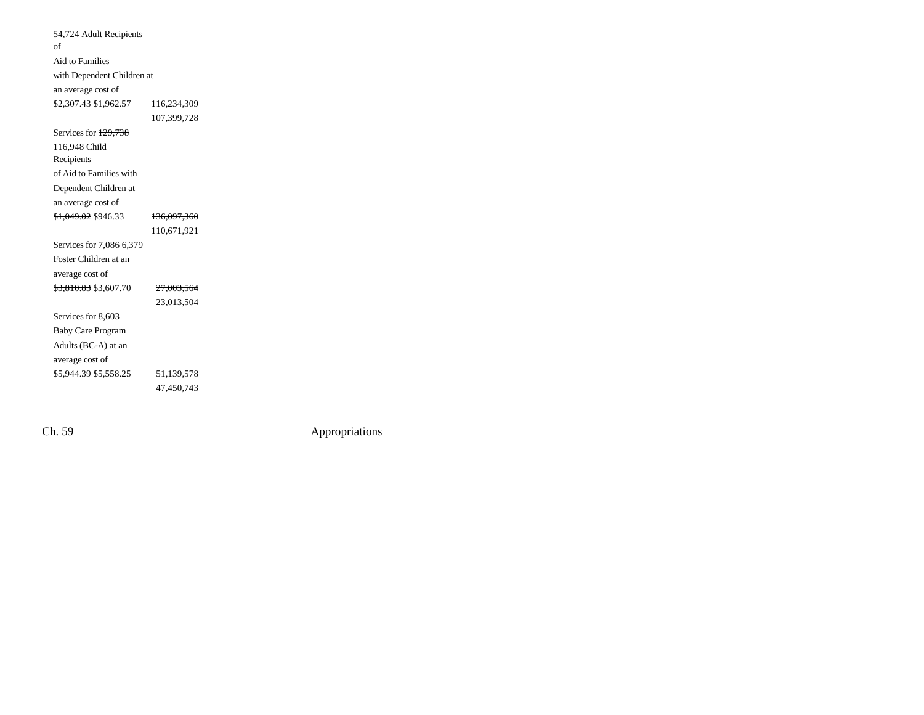| 54,724 Adult Recipients          |                        |
|----------------------------------|------------------------|
| of                               |                        |
| Aid to Families                  |                        |
| with Dependent Children at       |                        |
| an average cost of               |                        |
| <del>\$2,307.43</del> \$1,962.57 | <del>116,234,309</del> |
|                                  | 107,399,728            |
| Services for 129,738             |                        |
| 116,948 Child                    |                        |
| Recipients                       |                        |
| of Aid to Families with          |                        |
| Dependent Children at            |                        |
| an average cost of               |                        |
| \$1,049.02 \$946.33              | <del>136,097,360</del> |
|                                  | 110,671,921            |
| Services for 7,086 6,379         |                        |
| Foster Children at an            |                        |
| average cost of                  |                        |
| <del>\$3,810.83</del> \$3,607.70 | <del>27,003,564</del>  |
|                                  | 23,013,504             |
| Services for 8,603               |                        |
| <b>Baby Care Program</b>         |                        |
| Adults (BC-A) at an              |                        |
| average cost of                  |                        |
| <del>\$5,944.39</del> \$5,558.25 | <del>51.139.578</del>  |
|                                  | 47,450,743             |
|                                  |                        |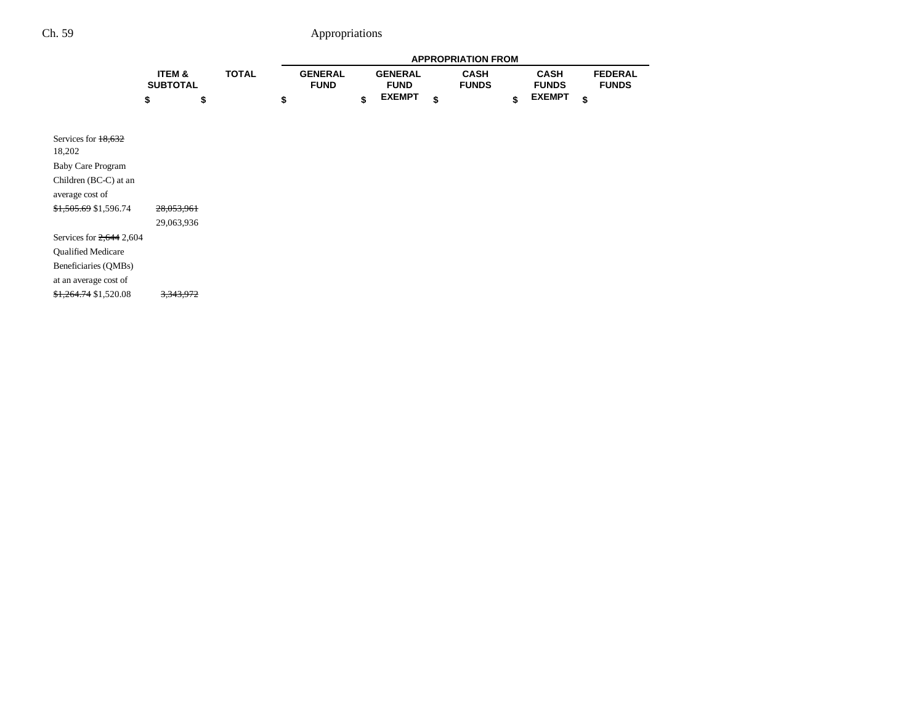|                                                                                                                                    |                           |              |                               |                               | <b>APPROPRIATION FROM</b>   |                             |                                |
|------------------------------------------------------------------------------------------------------------------------------------|---------------------------|--------------|-------------------------------|-------------------------------|-----------------------------|-----------------------------|--------------------------------|
|                                                                                                                                    | ITEM &<br><b>SUBTOTAL</b> | <b>TOTAL</b> | <b>GENERAL</b><br><b>FUND</b> | <b>GENERAL</b><br><b>FUND</b> | <b>CASH</b><br><b>FUNDS</b> | <b>CASH</b><br><b>FUNDS</b> | <b>FEDERAL</b><br><b>FUNDS</b> |
|                                                                                                                                    | \$<br>\$                  |              | \$                            | \$<br><b>EXEMPT</b>           | \$                          | \$<br><b>EXEMPT</b>         | \$                             |
| Services for 18,632<br>18,202<br><b>Baby Care Program</b><br>Children (BC-C) at an<br>average cost of<br>\$1,505.69 \$1,596.74     | 28,053,961<br>29,063,936  |              |                               |                               |                             |                             |                                |
| Services for $2,644$ 2,604<br>Qualified Medicare<br>Beneficiaries (QMBs)<br>at an average cost of<br>$\frac{$1,264.74}{$1,520.08}$ | 3,343,972                 |              |                               |                               |                             |                             |                                |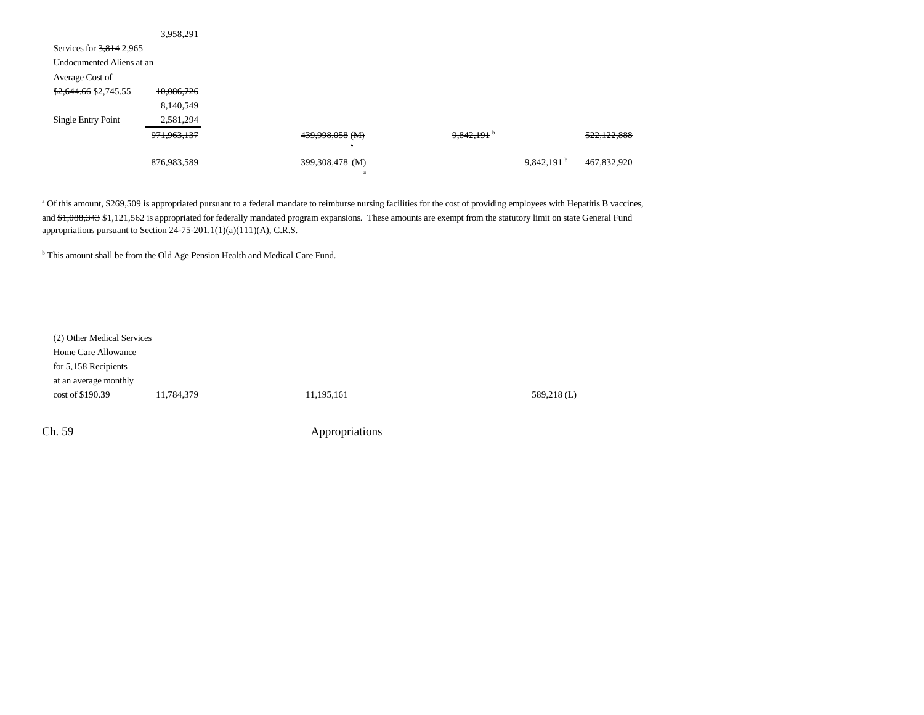|                            | 3,958,291     |                 |                          |                        |             |
|----------------------------|---------------|-----------------|--------------------------|------------------------|-------------|
| Services for $3,814$ 2,965 |               |                 |                          |                        |             |
| Undocumented Aliens at an  |               |                 |                          |                        |             |
| Average Cost of            |               |                 |                          |                        |             |
| \$2,644.66 \$2,745.55      | 10,086,726    |                 |                          |                        |             |
|                            | 8,140,549     |                 |                          |                        |             |
| Single Entry Point         | 2,581,294     |                 |                          |                        |             |
|                            | 971, 963, 137 | 439,998,058 (M) | $9,842,191$ <sup>b</sup> |                        | 522,122,888 |
|                            |               | $\mathbf{a}$    |                          |                        |             |
|                            | 876,983,589   | 399,308,478 (M) |                          | 9,842,191 <sup>b</sup> | 467,832,920 |
|                            |               |                 |                          |                        |             |

<sup>a</sup> Of this amount, \$269,509 is appropriated pursuant to a federal mandate to reimburse nursing facilities for the cost of providing employees with Hepatitis B vaccines, and \$1,088,343 \$1,121,562 is appropriated for federally mandated program expansions. These amounts are exempt from the statutory limit on state General Fund appropriations pursuant to Section 24-75-201.1(1)(a)(111)(A), C.R.S.

<sup>b</sup> This amount shall be from the Old Age Pension Health and Medical Care Fund.

| (2) Other Medical Services |            |             |
|----------------------------|------------|-------------|
|                            |            |             |
|                            |            |             |
|                            |            |             |
| 11,784,379                 | 11,195,161 | 589,218 (L) |
|                            |            |             |
|                            |            |             |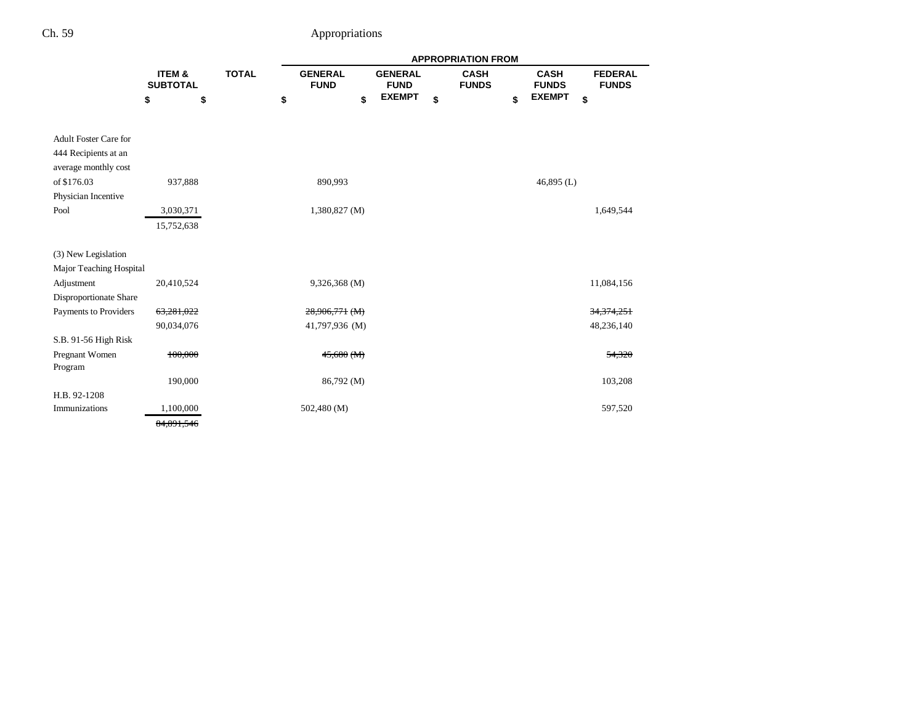|                                                                                             |                           | <b>APPROPRIATION FROM</b> |                               |    |                               |                             |                             |                                |
|---------------------------------------------------------------------------------------------|---------------------------|---------------------------|-------------------------------|----|-------------------------------|-----------------------------|-----------------------------|--------------------------------|
|                                                                                             | ITEM &<br><b>SUBTOTAL</b> | <b>TOTAL</b>              | <b>GENERAL</b><br><b>FUND</b> |    | <b>GENERAL</b><br><b>FUND</b> | <b>CASH</b><br><b>FUNDS</b> | <b>CASH</b><br><b>FUNDS</b> | <b>FEDERAL</b><br><b>FUNDS</b> |
|                                                                                             | \$                        | \$                        | \$                            | \$ | <b>EXEMPT</b>                 | \$                          | \$<br><b>EXEMPT</b>         | \$                             |
| <b>Adult Foster Care for</b><br>444 Recipients at an<br>average monthly cost<br>of \$176.03 | 937,888                   |                           | 890,993                       |    |                               |                             | 46,895 $(L)$                |                                |
| Physician Incentive                                                                         |                           |                           |                               |    |                               |                             |                             |                                |
| Pool                                                                                        | 3,030,371<br>15,752,638   |                           | $1,380,827$ (M)               |    |                               |                             |                             | 1,649,544                      |
| (3) New Legislation                                                                         |                           |                           |                               |    |                               |                             |                             |                                |
| Major Teaching Hospital                                                                     |                           |                           |                               |    |                               |                             |                             |                                |
| Adjustment                                                                                  | 20,410,524                |                           | 9,326,368 (M)                 |    |                               |                             |                             | 11,084,156                     |
| Disproportionate Share                                                                      |                           |                           |                               |    |                               |                             |                             |                                |
| Payments to Providers                                                                       | 63,281,022                |                           | $28,906,771$ (M)              |    |                               |                             |                             | 34, 374, 251                   |
|                                                                                             | 90,034,076                |                           | 41,797,936 (M)                |    |                               |                             |                             | 48,236,140                     |
| S.B. 91-56 High Risk                                                                        |                           |                           |                               |    |                               |                             |                             |                                |
| Pregnant Women<br>Program                                                                   | 100,000                   |                           | $45,680$ (M)                  |    |                               |                             |                             | 54,320                         |
|                                                                                             | 190,000                   |                           | 86,792 (M)                    |    |                               |                             |                             | 103,208                        |
| H.B. 92-1208                                                                                |                           |                           |                               |    |                               |                             |                             |                                |
| Immunizations                                                                               | 1,100,000                 |                           | 502,480 (M)                   |    |                               |                             |                             | 597,520                        |
|                                                                                             | 84.891.546                |                           |                               |    |                               |                             |                             |                                |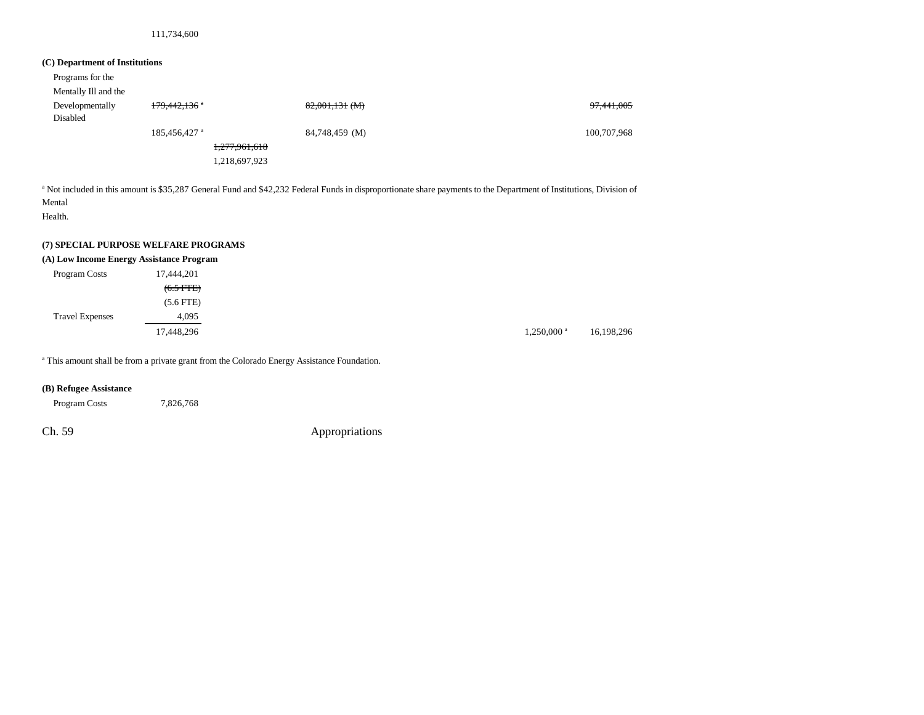#### 111,734,600

#### **(C) Department of Institutions**

| Programs for the            |                            |                |                       |
|-----------------------------|----------------------------|----------------|-----------------------|
| Mentally Ill and the        |                            |                |                       |
| Developmentally<br>Disabled | 179,442,136 a              | 82,001,131 (M) | <del>97,441,005</del> |
|                             | $185,456,427$ <sup>a</sup> | 84,748,459 (M) | 100,707,968           |
|                             |                            | 1,277,961,618  |                       |
|                             |                            | 1,218,697,923  |                       |

<sup>a</sup> Not included in this amount is \$35,287 General Fund and \$42,232 Federal Funds in disproportionate share payments to the Department of Institutions, Division of Mental

Health.

#### **(7) SPECIAL PURPOSE WELFARE PROGRAMS**

#### **(A) Low Income Energy Assistance Program**

| Program Costs          | 17,444,201  |                          |
|------------------------|-------------|--------------------------|
|                        | $(6.5 FTE)$ |                          |
|                        | $(5.6$ FTE) |                          |
| <b>Travel Expenses</b> | 4,095       |                          |
|                        | 17,448,296  | $1,250,000$ <sup>a</sup> |

<sup>a</sup> This amount shall be from a private grant from the Colorado Energy Assistance Foundation.

#### **(B) Refugee Assistance**

Program Costs 7,826,768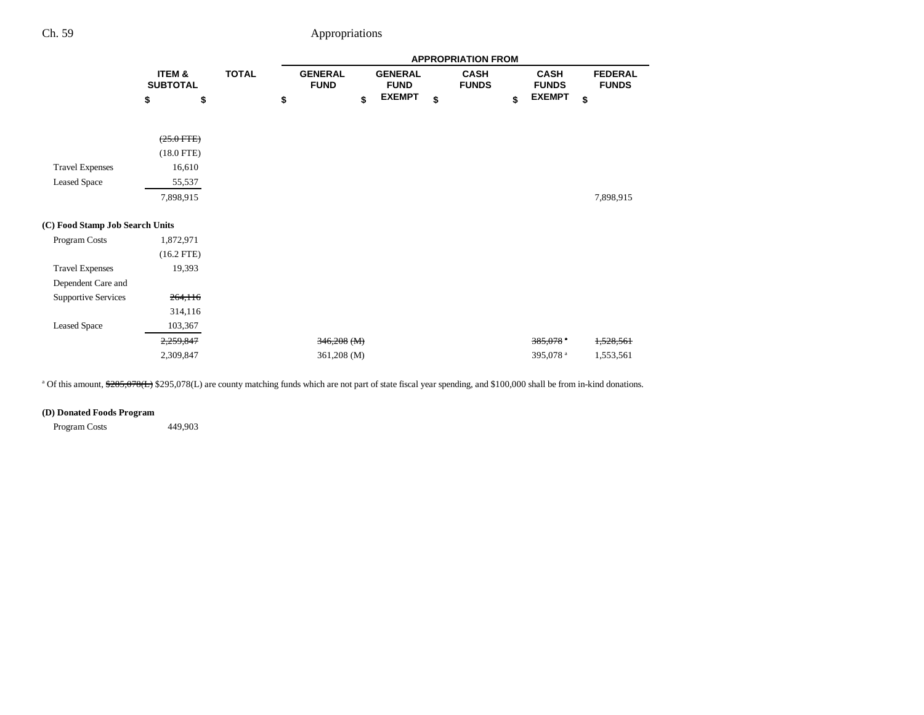|                                 |                           |                    |  |                               |  |                               |    | <b>APPROPRIATION FROM</b>   |                             |                                |
|---------------------------------|---------------------------|--------------------|--|-------------------------------|--|-------------------------------|----|-----------------------------|-----------------------------|--------------------------------|
|                                 | ITEM &<br><b>SUBTOTAL</b> | <b>TOTAL</b><br>\$ |  | <b>GENERAL</b><br><b>FUND</b> |  | <b>GENERAL</b><br><b>FUND</b> |    | <b>CASH</b><br><b>FUNDS</b> | <b>CASH</b><br><b>FUNDS</b> | <b>FEDERAL</b><br><b>FUNDS</b> |
|                                 | \$                        |                    |  | \$                            |  | <b>EXEMPT</b>                 | \$ |                             | \$<br><b>EXEMPT</b>         | \$                             |
|                                 | $(25.0$ FTE)              |                    |  |                               |  |                               |    |                             |                             |                                |
|                                 | $(18.0$ FTE)              |                    |  |                               |  |                               |    |                             |                             |                                |
| <b>Travel Expenses</b>          | 16,610                    |                    |  |                               |  |                               |    |                             |                             |                                |
| <b>Leased Space</b>             | 55,537                    |                    |  |                               |  |                               |    |                             |                             |                                |
|                                 | 7,898,915                 |                    |  |                               |  |                               |    |                             |                             | 7,898,915                      |
| (C) Food Stamp Job Search Units |                           |                    |  |                               |  |                               |    |                             |                             |                                |
| Program Costs                   | 1,872,971                 |                    |  |                               |  |                               |    |                             |                             |                                |
|                                 | $(16.2$ FTE)              |                    |  |                               |  |                               |    |                             |                             |                                |
| <b>Travel Expenses</b>          | 19,393                    |                    |  |                               |  |                               |    |                             |                             |                                |
| Dependent Care and              |                           |                    |  |                               |  |                               |    |                             |                             |                                |
| <b>Supportive Services</b>      | 264,116                   |                    |  |                               |  |                               |    |                             |                             |                                |
|                                 | 314,116                   |                    |  |                               |  |                               |    |                             |                             |                                |
| <b>Leased Space</b>             | 103,367                   |                    |  |                               |  |                               |    |                             |                             |                                |
|                                 | 2,259,847                 |                    |  | $346,208$ (M)                 |  |                               |    |                             | $385,078$ <sup>*</sup>      | 1,528,561                      |
|                                 | 2,309,847                 |                    |  | 361,208 (M)                   |  |                               |    |                             | 395,078 <sup>a</sup>        | 1,553,561                      |

<sup>a</sup> Of this amount,  $285,078(L)$  \$295,078(L) are county matching funds which are not part of state fiscal year spending, and \$100,000 shall be from in-kind donations.

### **(D) Donated Foods Program**

Program Costs 449,903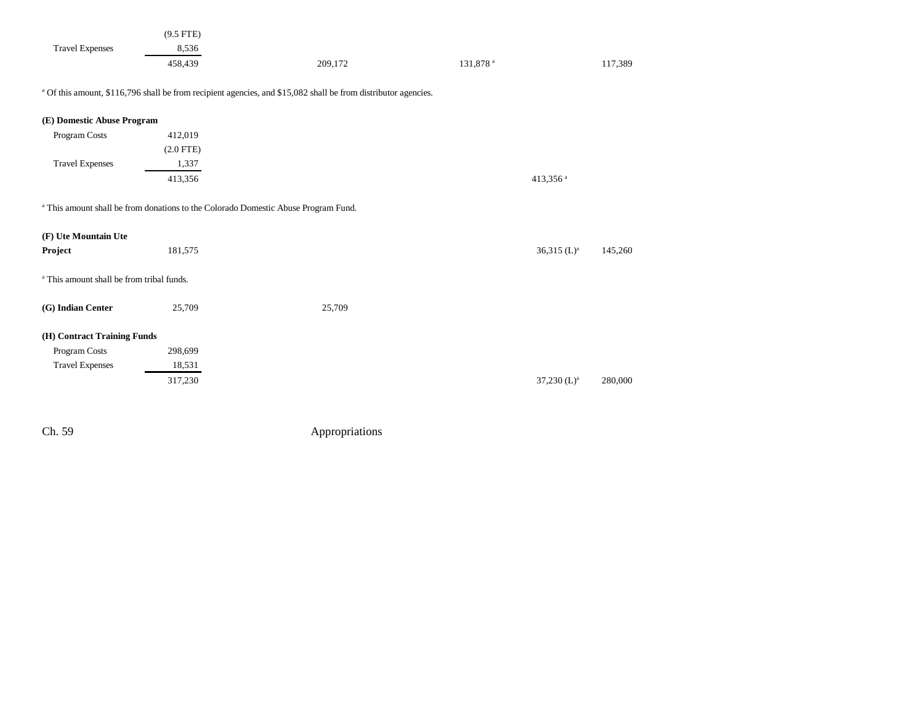|                        | $(9.5$ FTE) |         |                      |         |
|------------------------|-------------|---------|----------------------|---------|
| <b>Travel Expenses</b> | 8,536       |         |                      |         |
|                        | 458.439     | 209,172 | 131,878 <sup>a</sup> | 117,389 |

<sup>a</sup> Of this amount, \$116,796 shall be from recipient agencies, and \$15,082 shall be from distributor agencies.

| (E) Domestic Abuse Program                           |                                                                                               |        |                           |         |
|------------------------------------------------------|-----------------------------------------------------------------------------------------------|--------|---------------------------|---------|
| Program Costs                                        | 412,019                                                                                       |        |                           |         |
|                                                      | $(2.0$ FTE)                                                                                   |        |                           |         |
| <b>Travel Expenses</b>                               | 1,337                                                                                         |        |                           |         |
|                                                      | 413,356                                                                                       |        | 413,356 $a$               |         |
| (F) Ute Mountain Ute                                 | <sup>a</sup> This amount shall be from donations to the Colorado Domestic Abuse Program Fund. |        |                           |         |
| Project                                              | 181,575                                                                                       |        | $36,315$ (L) <sup>a</sup> | 145,260 |
| <sup>a</sup> This amount shall be from tribal funds. |                                                                                               |        |                           |         |
| (G) Indian Center                                    | 25,709                                                                                        | 25,709 |                           |         |
|                                                      |                                                                                               |        |                           |         |

#### **(H) Contract Training Funds**

| Program Costs          | 298,699 |
|------------------------|---------|
| <b>Travel Expenses</b> | 18,531  |
|                        | 317,230 |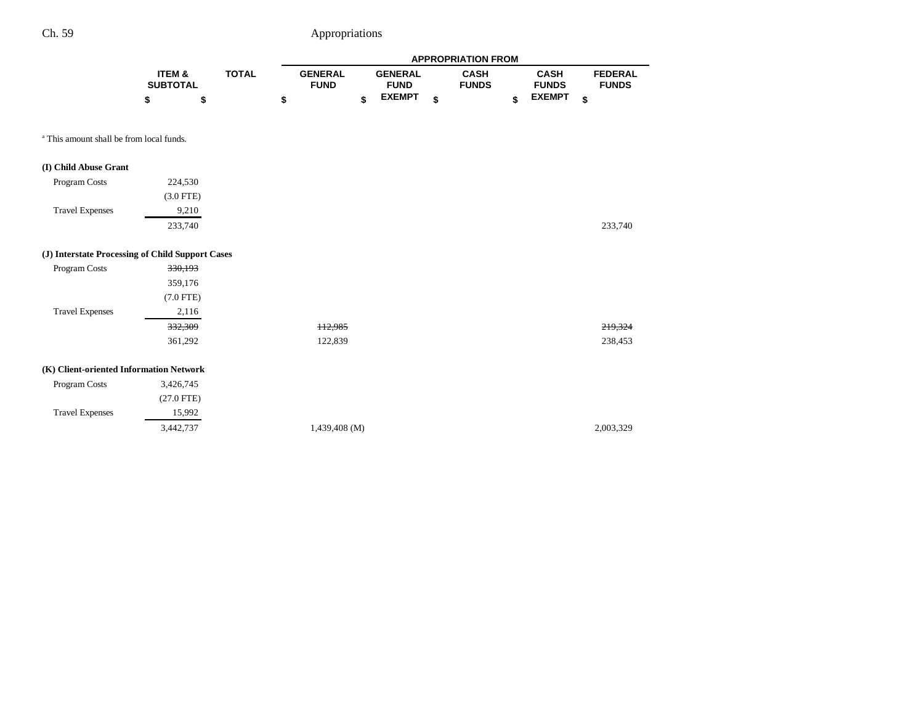|                                                     |                           |              |                               |                               | <b>APPROPRIATION FROM</b>   |                             |                                |
|-----------------------------------------------------|---------------------------|--------------|-------------------------------|-------------------------------|-----------------------------|-----------------------------|--------------------------------|
|                                                     | ITEM &<br><b>SUBTOTAL</b> | <b>TOTAL</b> | <b>GENERAL</b><br><b>FUND</b> | <b>GENERAL</b><br><b>FUND</b> | <b>CASH</b><br><b>FUNDS</b> | <b>CASH</b><br><b>FUNDS</b> | <b>FEDERAL</b><br><b>FUNDS</b> |
|                                                     | \$<br>\$                  |              | \$                            | \$<br><b>EXEMPT</b>           | \$                          | \$<br><b>EXEMPT</b>         | \$                             |
| <sup>a</sup> This amount shall be from local funds. |                           |              |                               |                               |                             |                             |                                |
| (I) Child Abuse Grant                               |                           |              |                               |                               |                             |                             |                                |
| Program Costs                                       | 224,530                   |              |                               |                               |                             |                             |                                |
|                                                     | $(3.0$ FTE)               |              |                               |                               |                             |                             |                                |
| <b>Travel Expenses</b>                              | 9,210                     |              |                               |                               |                             |                             |                                |
|                                                     | 233,740                   |              |                               |                               |                             |                             | 233,740                        |
| (J) Interstate Processing of Child Support Cases    |                           |              |                               |                               |                             |                             |                                |
| Program Costs                                       | 330,193                   |              |                               |                               |                             |                             |                                |
|                                                     | 359,176                   |              |                               |                               |                             |                             |                                |
|                                                     | $(7.0$ FTE)               |              |                               |                               |                             |                             |                                |
| <b>Travel Expenses</b>                              | 2,116                     |              |                               |                               |                             |                             |                                |
|                                                     | 332,309                   |              | 112,985                       |                               |                             |                             | 219,324                        |
|                                                     | 361,292                   |              | 122,839                       |                               |                             |                             | 238,453                        |
| (K) Client-oriented Information Network             |                           |              |                               |                               |                             |                             |                                |
| Program Costs                                       | 3,426,745                 |              |                               |                               |                             |                             |                                |
|                                                     | $(27.0$ FTE)              |              |                               |                               |                             |                             |                                |
| <b>Travel Expenses</b>                              | 15,992                    |              |                               |                               |                             |                             |                                |
|                                                     | 3,442,737                 |              | 1,439,408 (M)                 |                               |                             |                             | 2,003,329                      |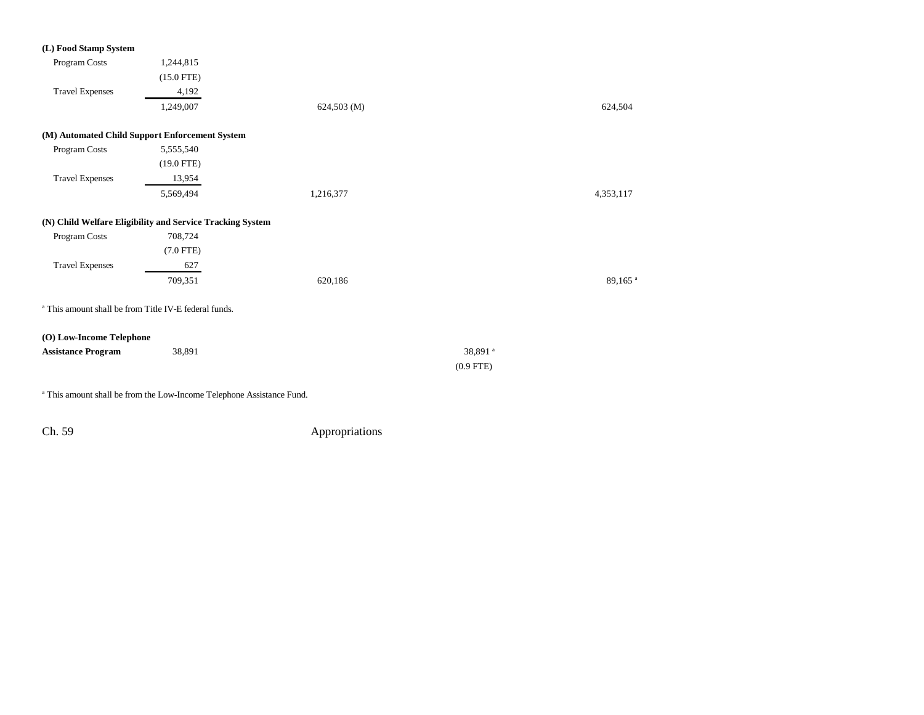| (L) Food Stamp System     |                                                                  |                 |                       |
|---------------------------|------------------------------------------------------------------|-----------------|-----------------------|
| Program Costs             | 1,244,815                                                        |                 |                       |
|                           | $(15.0$ FTE)                                                     |                 |                       |
| <b>Travel Expenses</b>    | 4,192                                                            |                 |                       |
|                           | 1,249,007                                                        | $624,503 \ (M)$ | 624,504               |
|                           | (M) Automated Child Support Enforcement System                   |                 |                       |
| Program Costs             | 5,555,540                                                        |                 |                       |
|                           | $(19.0$ FTE)                                                     |                 |                       |
| <b>Travel Expenses</b>    | 13,954                                                           |                 |                       |
|                           | 5,569,494                                                        | 1,216,377       | 4,353,117             |
|                           | (N) Child Welfare Eligibility and Service Tracking System        |                 |                       |
| Program Costs             | 708,724                                                          |                 |                       |
|                           | $(7.0$ FTE)                                                      |                 |                       |
| <b>Travel Expenses</b>    | 627                                                              |                 |                       |
|                           | 709,351                                                          | 620,186         | $89{,}165$ $^{\rm a}$ |
|                           | <sup>a</sup> This amount shall be from Title IV-E federal funds. |                 |                       |
| (O) Low-Income Telephone  |                                                                  |                 |                       |
| <b>Assistance Program</b> | 38,891                                                           |                 | 38,891 <sup>a</sup>   |
|                           |                                                                  |                 | $(0.9$ FTE)           |
|                           |                                                                  |                 |                       |

a This amount shall be from the Low-Income Telephone Assistance Fund.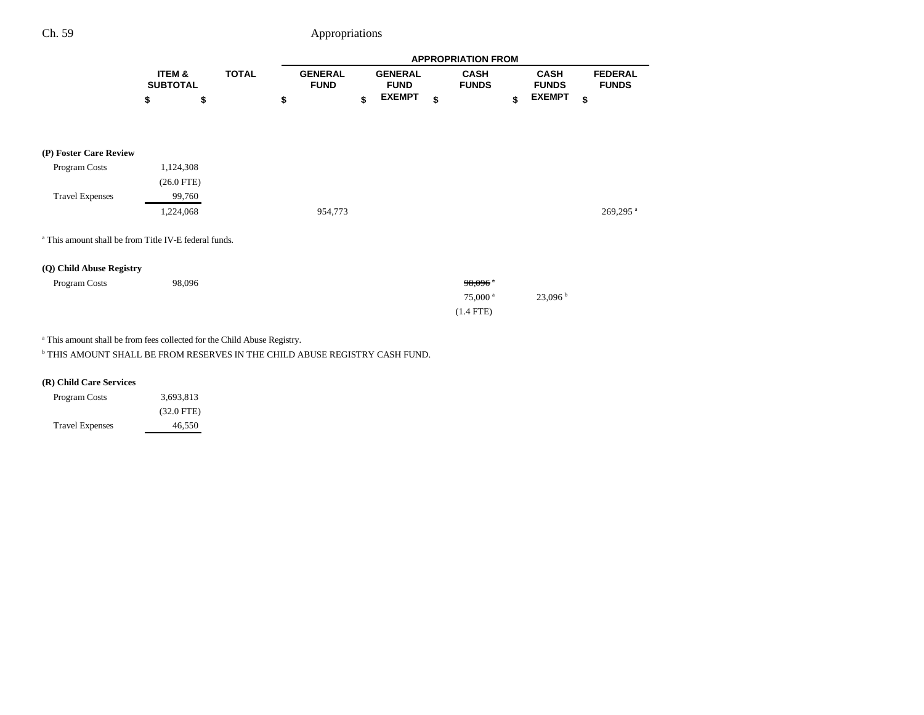|                                                                  |                           |              | <b>APPROPRIATION FROM</b>     |    |                               |    |                                                               |    |                             |    |                                |
|------------------------------------------------------------------|---------------------------|--------------|-------------------------------|----|-------------------------------|----|---------------------------------------------------------------|----|-----------------------------|----|--------------------------------|
|                                                                  | ITEM &<br><b>SUBTOTAL</b> | <b>TOTAL</b> | <b>GENERAL</b><br><b>FUND</b> |    | <b>GENERAL</b><br><b>FUND</b> |    | <b>CASH</b><br><b>FUNDS</b>                                   |    | <b>CASH</b><br><b>FUNDS</b> |    | <b>FEDERAL</b><br><b>FUNDS</b> |
|                                                                  | \$                        | \$           | \$                            | \$ | <b>EXEMPT</b>                 | \$ |                                                               | \$ | <b>EXEMPT</b>               | \$ |                                |
| (P) Foster Care Review                                           |                           |              |                               |    |                               |    |                                                               |    |                             |    |                                |
| Program Costs                                                    | 1,124,308<br>$(26.0$ FTE) |              |                               |    |                               |    |                                                               |    |                             |    |                                |
| <b>Travel Expenses</b>                                           | 99,760<br>1,224,068       |              | 954,773                       |    |                               |    |                                                               |    |                             |    | 269,295 <sup>a</sup>           |
| <sup>a</sup> This amount shall be from Title IV-E federal funds. |                           |              |                               |    |                               |    |                                                               |    |                             |    |                                |
| (Q) Child Abuse Registry                                         |                           |              |                               |    |                               |    |                                                               |    |                             |    |                                |
| Program Costs                                                    | 98,096                    |              |                               |    |                               |    | $98,096$ <sup>*</sup><br>$75,000$ <sup>a</sup><br>$(1.4$ FTE) |    | 23,096 <sup>b</sup>         |    |                                |

a This amount shall be from fees collected for the Child Abuse Registry.

 $^{\rm b}$  THIS AMOUNT SHALL BE FROM RESERVES IN THE CHILD ABUSE REGISTRY CASH FUND.

### **(R) Child Care Services**

| <b>Program Costs</b>   | 3,693,813    |
|------------------------|--------------|
|                        | $(32.0$ FTE) |
| <b>Travel Expenses</b> | 46.550       |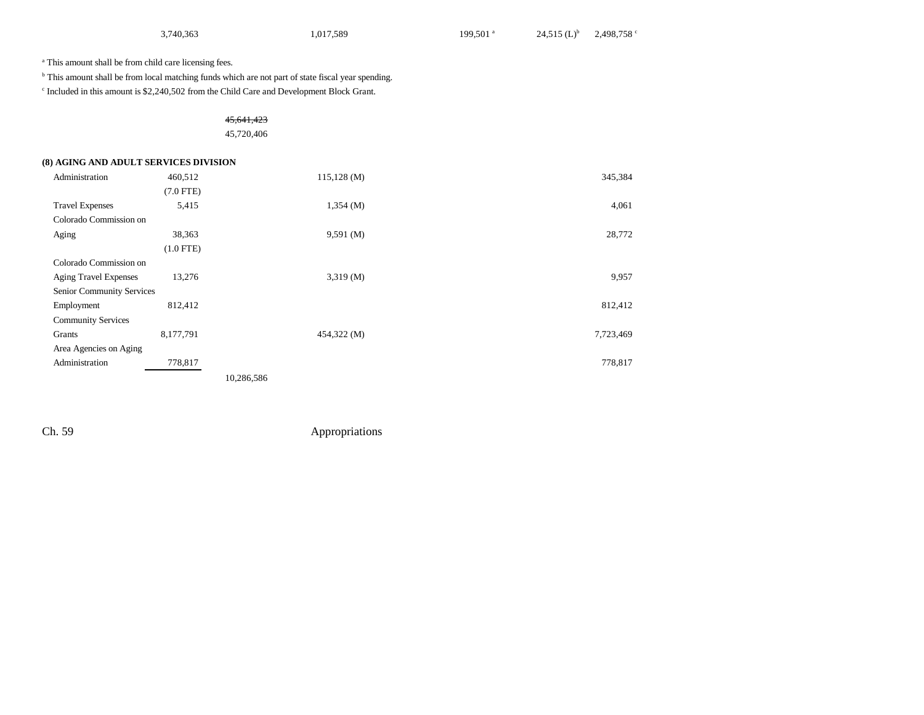| 3,740,363 | 1,017,589 | 199,501 <sup>a</sup> | 24,515 $(L)^b$ 2,498,758 ° |  |
|-----------|-----------|----------------------|----------------------------|--|
|-----------|-----------|----------------------|----------------------------|--|

a This amount shall be from child care licensing fees.

 $^{\rm b}$  This amount shall be from local matching funds which are not part of state fiscal year spending.

c Included in this amount is \$2,240,502 from the Child Care and Development Block Grant.

### 45,641,423

#### 45,720,406

#### **(8) AGING AND ADULT SERVICES DIVISION**

| Administration               | 460,512     | 115,128(M)  | 345,384   |
|------------------------------|-------------|-------------|-----------|
|                              | $(7.0$ FTE) |             |           |
| <b>Travel Expenses</b>       | 5,415       | 1,354(M)    | 4,061     |
| Colorado Commission on       |             |             |           |
| Aging                        | 38,363      | 9,591(M)    | 28,772    |
|                              | $(1.0$ FTE) |             |           |
| Colorado Commission on       |             |             |           |
| <b>Aging Travel Expenses</b> | 13,276      | 3,319(M)    | 9,957     |
| Senior Community Services    |             |             |           |
| Employment                   | 812,412     |             | 812,412   |
| <b>Community Services</b>    |             |             |           |
| Grants                       | 8,177,791   | 454,322 (M) | 7,723,469 |
| Area Agencies on Aging       |             |             |           |
| Administration               | 778,817     |             | 778,817   |
|                              |             | 10,286,586  |           |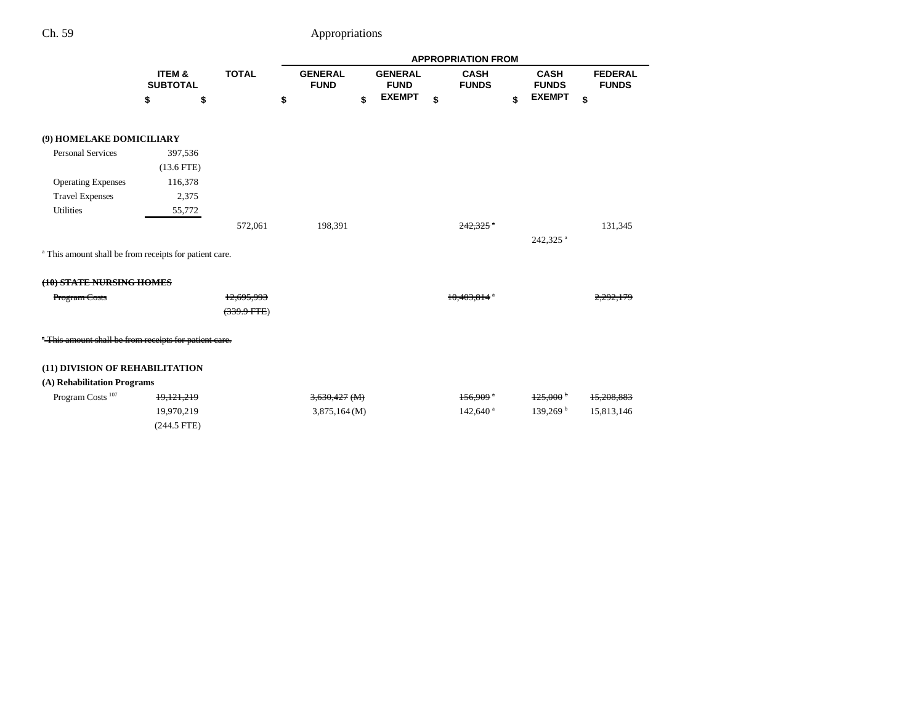|                                                                   |                           |        |                 | <b>APPROPRIATION FROM</b>     |    |                               |    |                             |    |                             |                                |         |
|-------------------------------------------------------------------|---------------------------|--------|-----------------|-------------------------------|----|-------------------------------|----|-----------------------------|----|-----------------------------|--------------------------------|---------|
|                                                                   | ITEM &<br><b>SUBTOTAL</b> |        | <b>TOTAL</b>    | <b>GENERAL</b><br><b>FUND</b> |    | <b>GENERAL</b><br><b>FUND</b> |    | <b>CASH</b><br><b>FUNDS</b> |    | <b>CASH</b><br><b>FUNDS</b> | <b>FEDERAL</b><br><b>FUNDS</b> |         |
|                                                                   | \$                        | \$     |                 | \$                            | \$ | <b>EXEMPT</b>                 | \$ |                             | \$ | <b>EXEMPT</b>               | \$                             |         |
| (9) HOMELAKE DOMICILIARY                                          |                           |        |                 |                               |    |                               |    |                             |    |                             |                                |         |
| <b>Personal Services</b>                                          | 397,536                   |        |                 |                               |    |                               |    |                             |    |                             |                                |         |
|                                                                   | $(13.6$ FTE)              |        |                 |                               |    |                               |    |                             |    |                             |                                |         |
| <b>Operating Expenses</b>                                         | 116,378                   |        |                 |                               |    |                               |    |                             |    |                             |                                |         |
| <b>Travel Expenses</b>                                            |                           | 2,375  |                 |                               |    |                               |    |                             |    |                             |                                |         |
| <b>Utilities</b>                                                  |                           | 55,772 |                 |                               |    |                               |    |                             |    |                             |                                |         |
|                                                                   |                           |        | 572,061         | 198,391                       |    |                               |    | $242.325$ $^{\circ}$        |    |                             |                                | 131,345 |
|                                                                   |                           |        |                 |                               |    |                               |    |                             |    | 242,325 <sup>a</sup>        |                                |         |
| <sup>a</sup> This amount shall be from receipts for patient care. |                           |        |                 |                               |    |                               |    |                             |    |                             |                                |         |
| (10) STATE NURSING HOMES                                          |                           |        |                 |                               |    |                               |    |                             |    |                             |                                |         |
| Program Costs                                                     |                           |        | 12,695,993      |                               |    |                               |    | <del>10.403.8</del>         |    |                             |                                |         |
|                                                                   |                           |        | $(339.9 + TFE)$ |                               |    |                               |    |                             |    |                             |                                |         |
| "This amount shall be from receipts for patient care.             |                           |        |                 |                               |    |                               |    |                             |    |                             |                                |         |
| (11) DIVISION OF REHABILITATION                                   |                           |        |                 |                               |    |                               |    |                             |    |                             |                                |         |
| (A) Rehabilitation Programs                                       |                           |        |                 |                               |    |                               |    |                             |    |                             |                                |         |
| Program Costs <sup>107</sup>                                      | 19,121,219                |        |                 | $3,630,427$ (M)               |    |                               |    | $156,909$ <sup>a</sup>      |    | $125,000^{\circ}$           | 15,208,883                     |         |
|                                                                   | 19,970,219                |        |                 | 3,875,164(M)                  |    |                               |    | $142,640$ <sup>a</sup>      |    | 139,269 <sup>b</sup>        | 15,813,146                     |         |
|                                                                   | $(244.5$ FTE)             |        |                 |                               |    |                               |    |                             |    |                             |                                |         |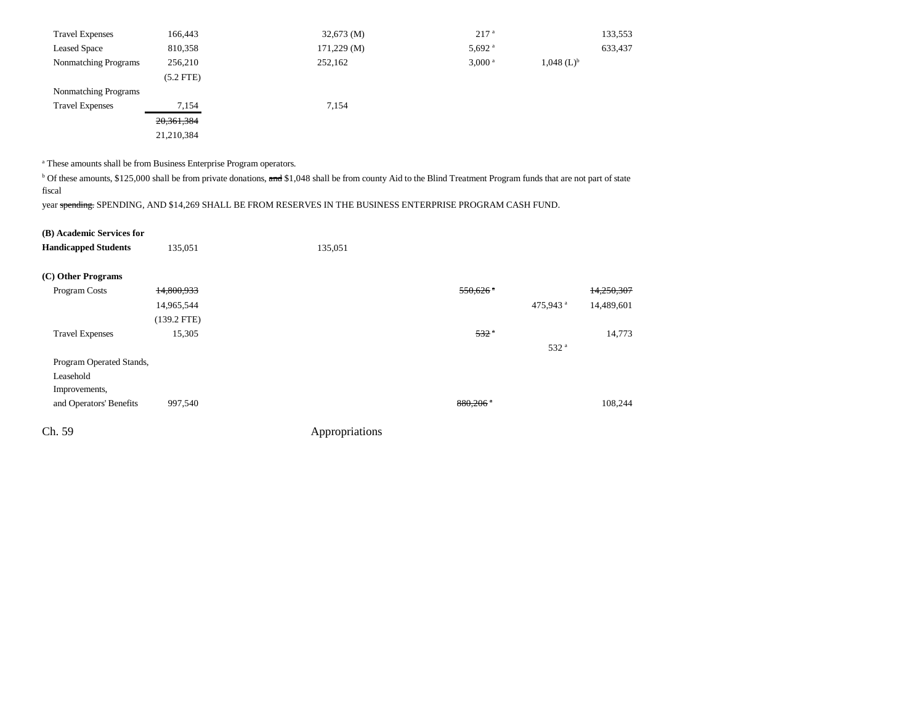| <b>Travel Expenses</b> | 166,443      | $32,673 \ (M)$  | 217 <sup>a</sup>     | 133,553                  |
|------------------------|--------------|-----------------|----------------------|--------------------------|
| <b>Leased Space</b>    | 810,358      | $171,229 \,(M)$ | $5,692$ <sup>a</sup> | 633,437                  |
| Nonmatching Programs   | 256,210      | 252,162         | $3,000$ <sup>a</sup> | $1,048$ (L) <sup>b</sup> |
|                        | $(5.2$ FTE)  |                 |                      |                          |
| Nonmatching Programs   |              |                 |                      |                          |
| <b>Travel Expenses</b> | 7,154        | 7,154           |                      |                          |
|                        | 20, 361, 384 |                 |                      |                          |
|                        | 21,210,384   |                 |                      |                          |

a These amounts shall be from Business Enterprise Program operators.

<sup>b</sup> Of these amounts, \$125,000 shall be from private donations, and \$1,048 shall be from county Aid to the Blind Treatment Program funds that are not part of state fiscal

year spending: SPENDING, AND \$14,269 SHALL BE FROM RESERVES IN THE BUSINESS ENTERPRISE PROGRAM CASH FUND.

| (B) Academic Services for |  |
|---------------------------|--|
|---------------------------|--|

| <b>Handicapped Students</b> | 135,051       | 135,051        |                        |                      |            |
|-----------------------------|---------------|----------------|------------------------|----------------------|------------|
| (C) Other Programs          |               |                |                        |                      |            |
| Program Costs               | 14,800,933    |                | $550,626$ <sup>a</sup> |                      | 14,250,307 |
|                             | 14,965,544    |                |                        | 475,943 <sup>a</sup> | 14,489,601 |
|                             | $(139.2$ FTE) |                |                        |                      |            |
| <b>Travel Expenses</b>      | 15,305        |                | 532 <sup>a</sup>       |                      | 14,773     |
|                             |               |                |                        | 532 <sup>a</sup>     |            |
| Program Operated Stands,    |               |                |                        |                      |            |
| Leasehold                   |               |                |                        |                      |            |
| Improvements,               |               |                |                        |                      |            |
| and Operators' Benefits     | 997,540       |                | $880,206$ <sup>a</sup> |                      | 108,244    |
| Ch. 59                      |               | Appropriations |                        |                      |            |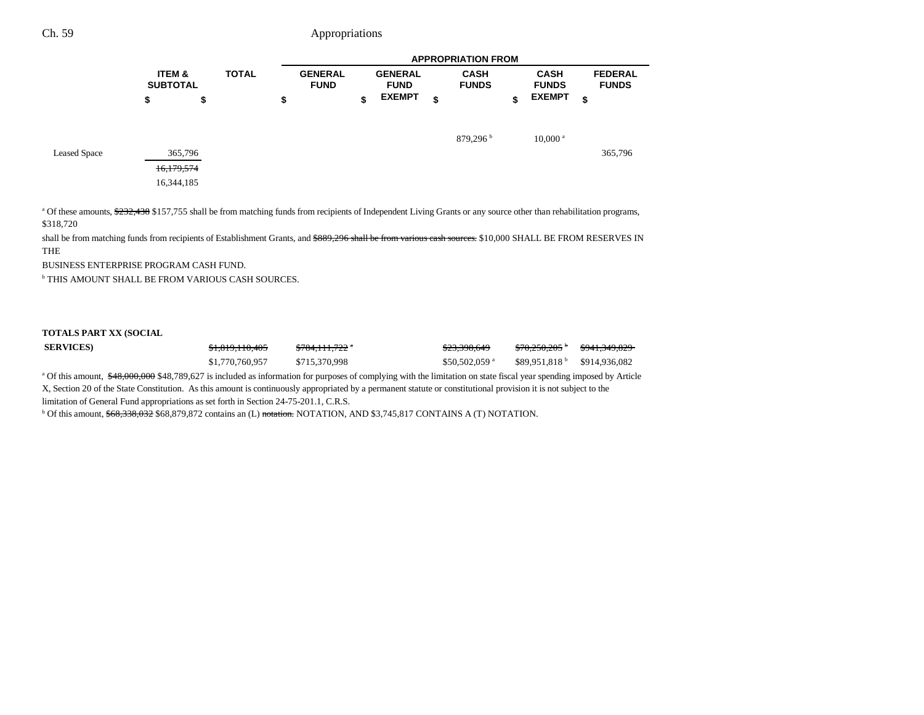|                     |                                      |              | <b>APPROPRIATION FROM</b>     |    |                               |    |                             |                             |                                |
|---------------------|--------------------------------------|--------------|-------------------------------|----|-------------------------------|----|-----------------------------|-----------------------------|--------------------------------|
|                     | <b>ITEM &amp;</b><br><b>SUBTOTAL</b> | <b>TOTAL</b> | <b>GENERAL</b><br><b>FUND</b> |    | <b>GENERAL</b><br><b>FUND</b> |    | <b>CASH</b><br><b>FUNDS</b> | <b>CASH</b><br><b>FUNDS</b> | <b>FEDERAL</b><br><b>FUNDS</b> |
|                     | \$                                   | \$           | \$                            | \$ | <b>EXEMPT</b>                 | \$ |                             | \$<br><b>EXEMPT</b>         | \$                             |
| <b>Leased Space</b> | 365,796<br>16,179,574<br>16,344,185  |              |                               |    |                               |    | 879,296 <sup>b</sup>        | $10,000$ <sup>a</sup>       | 365,796                        |

<sup>a</sup> Of these amounts, \$232,438 \$157,755 shall be from matching funds from recipients of Independent Living Grants or any source other than rehabilitation programs, \$318,720

shall be from matching funds from recipients of Establishment Grants, and \$889,296 shall be from various cash sources. \$10,000 SHALL BE FROM RESERVES IN THE

BUSINESS ENTERPRISE PROGRAM CASH FUND.

b THIS AMOUNT SHALL BE FROM VARIOUS CASH SOURCES.

#### **TOTALS PART XX (SOCIAL**

| <b>SERVICES)</b> | \$1,819,110,405 | <del>\$784,111,722</del> * | <del>\$23,398,649</del>    | \$70.250.205                         | <del>\$941,349,829</del> |
|------------------|-----------------|----------------------------|----------------------------|--------------------------------------|--------------------------|
|                  | \$1,770,760,957 | \$715,370,998              | $$50,502,059$ <sup>a</sup> | $$89.951.818^{\circ}$ $$914.936.082$ |                          |

<sup>a</sup> Of this amount,  $\frac{$48,000,000}{$48,000,000}$  \$48,789,627 is included as information for purposes of complying with the limitation on state fiscal year spending imposed by Article X, Section 20 of the State Constitution. As this amount is continuously appropriated by a permanent statute or constitutional provision it is not subject to the

limitation of General Fund appropriations as set forth in Section 24-75-201.1, C.R.S.

<sup>b</sup> Of this amount, \$68,338,032 \$68,879,872 contains an (L) notation. NOTATION, AND \$3,745,817 CONTAINS A (T) NOTATION.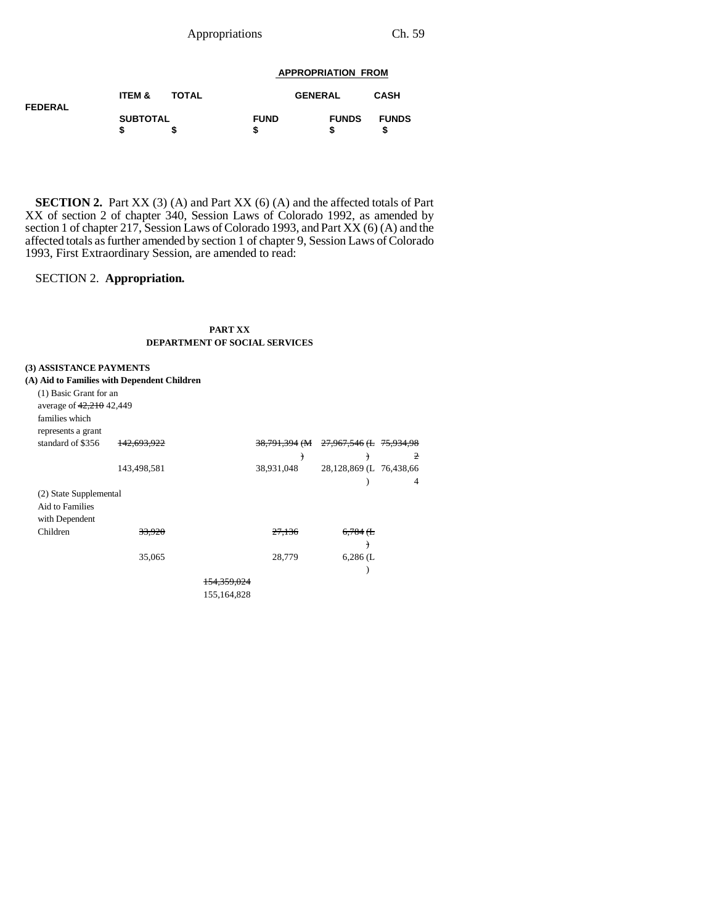### Appropriations Ch. 59

#### **APPROPRIATION FROM**

| <b>FEDERAL</b> | ITEM &          | <b>TOTAL</b> | <b>GENERAL</b>   |              | <b>CASH</b>  |
|----------------|-----------------|--------------|------------------|--------------|--------------|
|                | <b>SUBTOTAL</b> |              | <b>FUND</b><br>S | <b>FUNDS</b> | <b>FUNDS</b> |

**SECTION 2.** Part XX (3) (A) and Part XX (6) (A) and the affected totals of Part XX of section 2 of chapter 340, Session Laws of Colorado 1992, as amended by section 1 of chapter 217, Session Laws of Colorado 1993, and Part XX (6) (A) and the affected totals as further amended by section 1 of chapter 9, Session Laws of Colorado 1993, First Extraordinary Session, are amended to read:

### SECTION 2. **Appropriation.**

#### **PART XX DEPARTMENT OF SOCIAL SERVICES**

### **(3) ASSISTANCE PAYMENTS**

| (A) Aid to Families with Dependent Children |             |             |                          |                          |                |
|---------------------------------------------|-------------|-------------|--------------------------|--------------------------|----------------|
| (1) Basic Grant for an                      |             |             |                          |                          |                |
| average of 42,210 42,449                    |             |             |                          |                          |                |
| families which                              |             |             |                          |                          |                |
| represents a grant                          |             |             |                          |                          |                |
| standard of \$356                           | 142,693,922 |             | <del>38,791,394</del> (M | 27,967,546 (L 75,934,98) |                |
|                                             |             |             | €                        | ↑                        | $\overline{2}$ |
|                                             | 143,498,581 |             | 38,931,048               | 28,128,869 (L 76,438,66  |                |
|                                             |             |             |                          |                          | 4              |
| (2) State Supplemental                      |             |             |                          |                          |                |
| Aid to Families                             |             |             |                          |                          |                |
| with Dependent                              |             |             |                          |                          |                |
| Children                                    | 33,920      |             | 27,136                   | $6,784$ ( $E$            |                |
|                                             |             |             |                          | €                        |                |
|                                             | 35,065      |             | 28,779                   | $6,286$ (L               |                |
|                                             |             |             |                          |                          |                |
|                                             |             | 154.359.024 |                          |                          |                |
|                                             |             | 155,164,828 |                          |                          |                |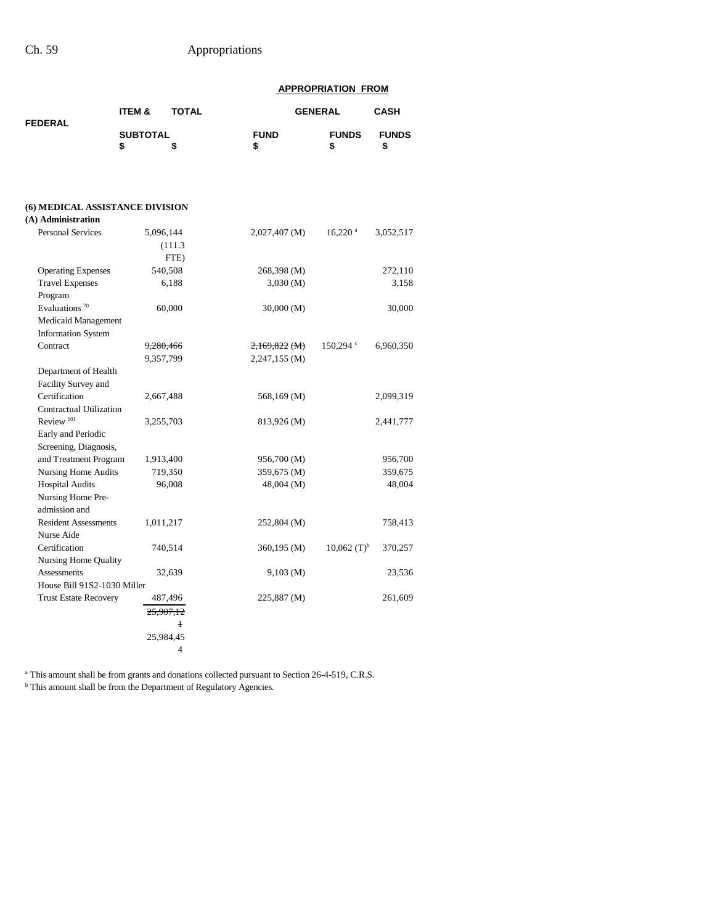|                                                              |                 |                      |               | <b>APPROPRIATION FROM</b> |              |
|--------------------------------------------------------------|-----------------|----------------------|---------------|---------------------------|--------------|
| <b>FEDERAL</b>                                               | ITEM &          | <b>TOTAL</b>         |               | <b>GENERAL</b>            | <b>CASH</b>  |
|                                                              | <b>SUBTOTAL</b> |                      | <b>FUND</b>   | <b>FUNDS</b>              | <b>FUNDS</b> |
|                                                              | \$              | \$                   | \$            | \$                        | \$           |
|                                                              |                 |                      |               |                           |              |
| <b>(6) MEDICAL ASSISTANCE DIVISION</b><br>(A) Administration |                 |                      |               |                           |              |
| <b>Personal Services</b>                                     |                 | 5,096,144            | 2,027,407 (M) | $16,220$ <sup>a</sup>     | 3,052,517    |
|                                                              |                 | (111.3)              |               |                           |              |
|                                                              |                 | FTE)                 |               |                           |              |
| <b>Operating Expenses</b>                                    |                 | 540,508              | 268,398 (M)   |                           | 272,110      |
| <b>Travel Expenses</b>                                       |                 | 6,188                | 3,030 (M)     |                           | 3,158        |
| Program                                                      |                 |                      |               |                           |              |
| Evaluations $70$                                             |                 | 60,000               | 30,000(M)     |                           | 30,000       |
| Medicaid Management                                          |                 |                      |               |                           |              |
| <b>Information System</b>                                    |                 |                      |               |                           |              |
| Contract                                                     |                 | <del>9,280,466</del> | 2,169,822 (M) | $150,294$ $\degree$       | 6,960,350    |
|                                                              |                 | 9,357,799            | 2,247,155 (M) |                           |              |
| Department of Health                                         |                 |                      |               |                           |              |
| Facility Survey and                                          |                 |                      |               |                           |              |
| Certification                                                |                 | 2,667,488            | 568,169 (M)   |                           | 2,099,319    |
| <b>Contractual Utilization</b>                               |                 |                      |               |                           |              |
| Review <sup>101</sup>                                        |                 | 3,255,703            | 813,926 (M)   |                           | 2,441,777    |
| Early and Periodic                                           |                 |                      |               |                           |              |
| Screening, Diagnosis,                                        |                 |                      |               |                           |              |
| and Treatment Program                                        |                 | 1,913,400            | 956,700 (M)   |                           | 956,700      |
| <b>Nursing Home Audits</b>                                   |                 | 719,350              | 359,675 (M)   |                           | 359,675      |
| <b>Hospital Audits</b>                                       |                 | 96,008               | 48,004 (M)    |                           | 48,004       |
| Nursing Home Pre-                                            |                 |                      |               |                           |              |
| admission and<br><b>Resident Assessments</b>                 |                 |                      |               |                           |              |
| Nurse Aide                                                   |                 | 1,011,217            | 252,804 (M)   |                           | 758,413      |
| Certification                                                |                 | 740,514              |               | $10,062$ (T) <sup>b</sup> |              |
| <b>Nursing Home Quality</b>                                  |                 |                      | 360,195 (M)   |                           | 370,257      |
| Assessments                                                  |                 | 32,639               | $9,103 \ (M)$ |                           | 23,536       |
| House Bill 91S2-1030 Miller                                  |                 |                      |               |                           |              |
| <b>Trust Estate Recovery</b>                                 |                 | 487,496              | 225,887 (M)   |                           | 261,609      |
|                                                              |                 | <del>25.907.12</del> |               |                           |              |
|                                                              |                 | $\mathbf{1}$         |               |                           |              |
|                                                              |                 | 25,984,45            |               |                           |              |
|                                                              |                 | 4                    |               |                           |              |
|                                                              |                 |                      |               |                           |              |

<sup>a</sup> This amount shall be from grants and donations collected pursuant to Section 26-4-519, C.R.S.

<sup>b</sup> This amount shall be from the Department of Regulatory Agencies.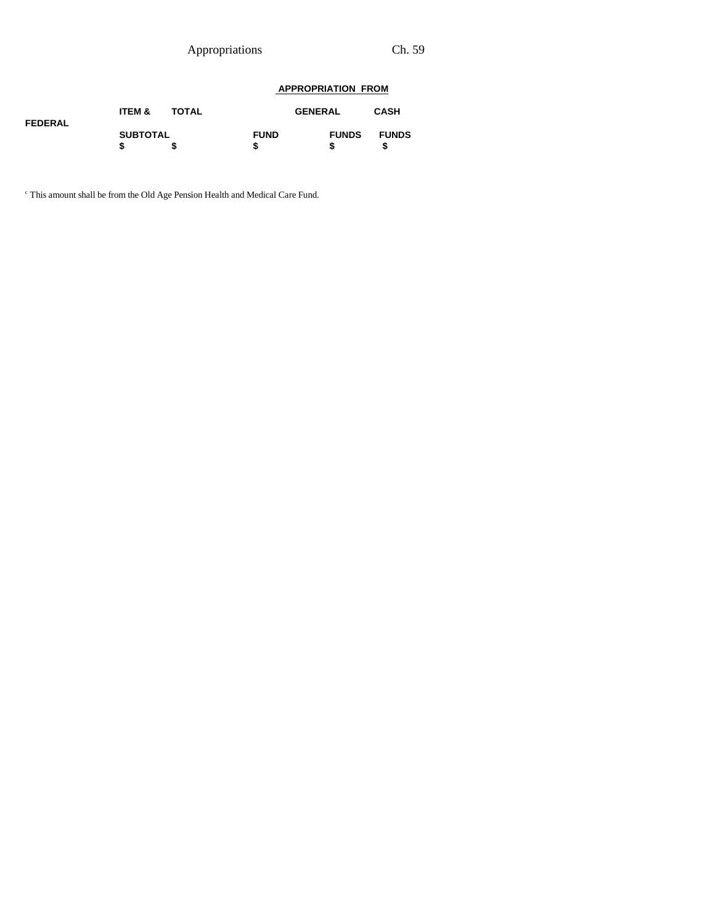Appropriations Ch. 59

### **APPROPRIATION FROM**

| <b>FEDERAL</b> | <b>ITEM &amp;</b> | <b>TOTAL</b> |                  | <b>GENERAL</b> | <b>CASH</b>  |
|----------------|-------------------|--------------|------------------|----------------|--------------|
|                | <b>SUBTOTAL</b>   |              | <b>FUND</b><br>S | <b>FUNDS</b>   | <b>FUNDS</b> |

c This amount shall be from the Old Age Pension Health and Medical Care Fund.